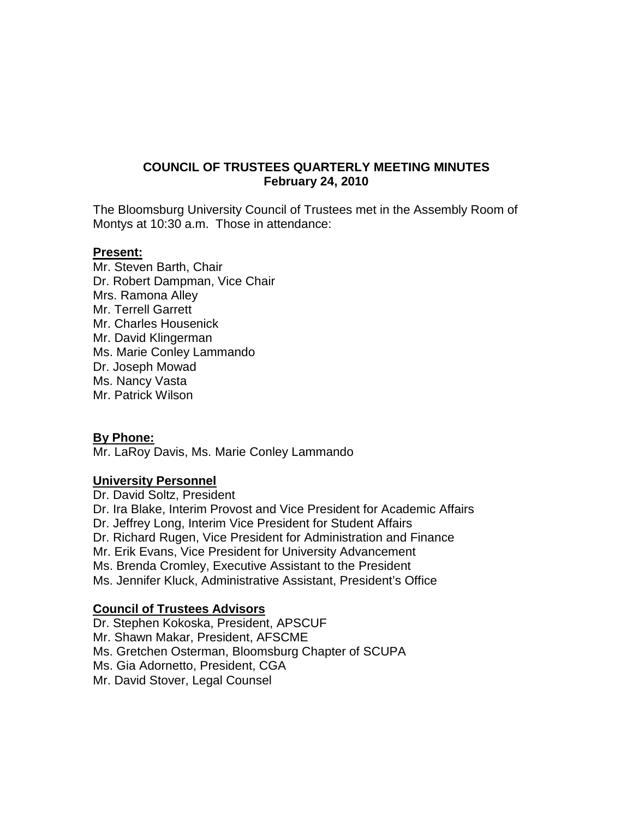# **COUNCIL OF TRUSTEES QUARTERLY MEETING MINUTES February 24, 2010**

The Bloomsburg University Council of Trustees met in the Assembly Room of Montys at 10:30 a.m. Those in attendance:

### **Present:**

Mr. Steven Barth, Chair Dr. Robert Dampman, Vice Chair Mrs. Ramona Alley Mr. Terrell Garrett Mr. Charles Housenick Mr. David Klingerman Ms. Marie Conley Lammando Dr. Joseph Mowad Ms. Nancy Vasta Mr. Patrick Wilson

# **By Phone:**

Mr. LaRoy Davis, Ms. Marie Conley Lammando

# **University Personnel**

Dr. David Soltz, President Dr. Ira Blake, Interim Provost and Vice President for Academic Affairs Dr. Jeffrey Long, Interim Vice President for Student Affairs Dr. Richard Rugen, Vice President for Administration and Finance Mr. Erik Evans, Vice President for University Advancement Ms. Brenda Cromley, Executive Assistant to the President Ms. Jennifer Kluck, Administrative Assistant, President's Office

# **Council of Trustees Advisors**

Dr. Stephen Kokoska, President, APSCUF Mr. Shawn Makar, President, AFSCME Ms. Gretchen Osterman, Bloomsburg Chapter of SCUPA Ms. Gia Adornetto, President, CGA Mr. David Stover, Legal Counsel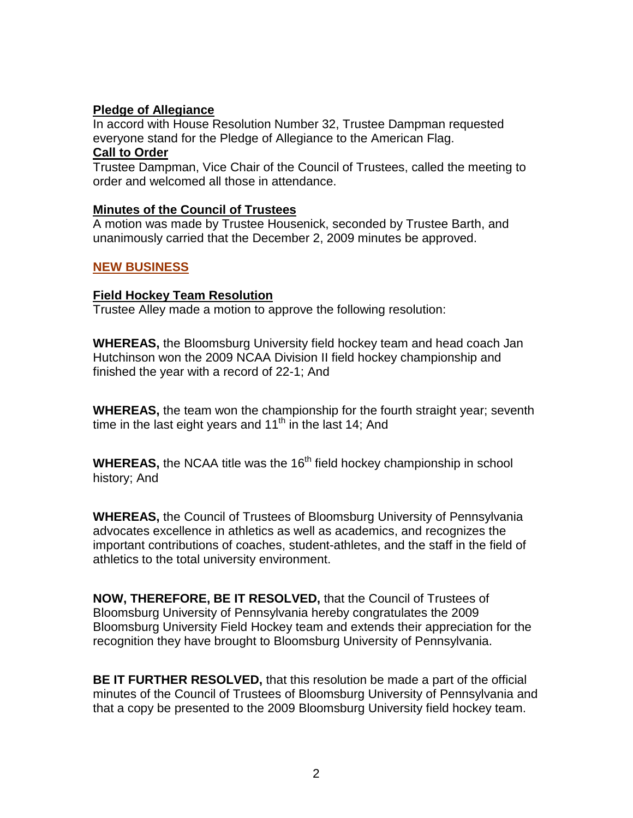# **Pledge of Allegiance**

In accord with House Resolution Number 32, Trustee Dampman requested everyone stand for the Pledge of Allegiance to the American Flag.

### **Call to Order**

Trustee Dampman, Vice Chair of the Council of Trustees, called the meeting to order and welcomed all those in attendance.

# **Minutes of the Council of Trustees**

A motion was made by Trustee Housenick, seconded by Trustee Barth, and unanimously carried that the December 2, 2009 minutes be approved.

# **NEW BUSINESS**

# **Field Hockey Team Resolution**

Trustee Alley made a motion to approve the following resolution:

**WHEREAS,** the Bloomsburg University field hockey team and head coach Jan Hutchinson won the 2009 NCAA Division II field hockey championship and finished the year with a record of 22-1; And

**WHEREAS,** the team won the championship for the fourth straight year; seventh time in the last eight years and  $11<sup>th</sup>$  in the last 14; And

**WHEREAS,** the NCAA title was the 16<sup>th</sup> field hockey championship in school history; And

**WHEREAS,** the Council of Trustees of Bloomsburg University of Pennsylvania advocates excellence in athletics as well as academics, and recognizes the important contributions of coaches, student-athletes, and the staff in the field of athletics to the total university environment.

**NOW, THEREFORE, BE IT RESOLVED,** that the Council of Trustees of Bloomsburg University of Pennsylvania hereby congratulates the 2009 Bloomsburg University Field Hockey team and extends their appreciation for the recognition they have brought to Bloomsburg University of Pennsylvania.

**BE IT FURTHER RESOLVED,** that this resolution be made a part of the official minutes of the Council of Trustees of Bloomsburg University of Pennsylvania and that a copy be presented to the 2009 Bloomsburg University field hockey team.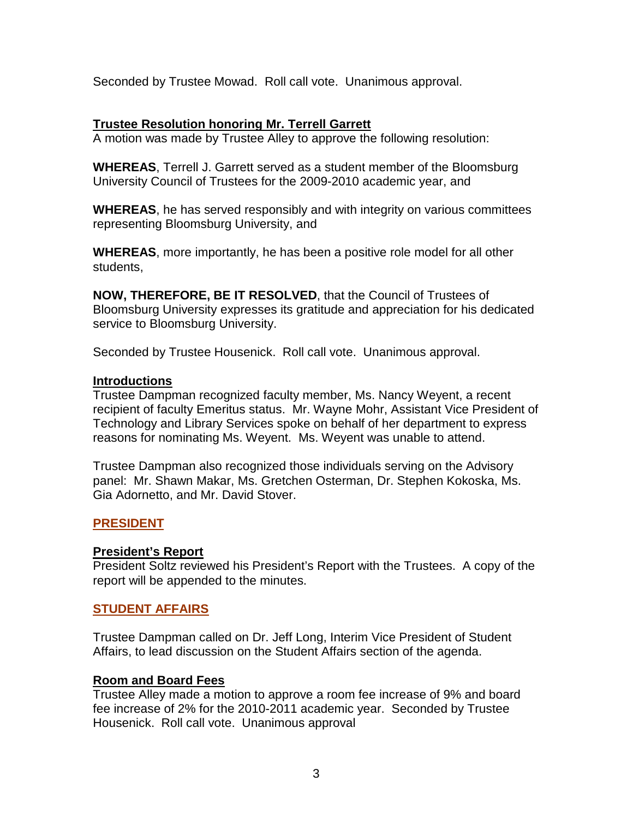Seconded by Trustee Mowad. Roll call vote. Unanimous approval.

# **Trustee Resolution honoring Mr. Terrell Garrett**

A motion was made by Trustee Alley to approve the following resolution:

**WHEREAS**, Terrell J. Garrett served as a student member of the Bloomsburg University Council of Trustees for the 2009-2010 academic year, and

**WHEREAS**, he has served responsibly and with integrity on various committees representing Bloomsburg University, and

**WHEREAS**, more importantly, he has been a positive role model for all other students,

**NOW, THEREFORE, BE IT RESOLVED**, that the Council of Trustees of Bloomsburg University expresses its gratitude and appreciation for his dedicated service to Bloomsburg University.

Seconded by Trustee Housenick. Roll call vote. Unanimous approval.

# **Introductions**

Trustee Dampman recognized faculty member, Ms. Nancy Weyent, a recent recipient of faculty Emeritus status. Mr. Wayne Mohr, Assistant Vice President of Technology and Library Services spoke on behalf of her department to express reasons for nominating Ms. Weyent. Ms. Weyent was unable to attend.

Trustee Dampman also recognized those individuals serving on the Advisory panel: Mr. Shawn Makar, Ms. Gretchen Osterman, Dr. Stephen Kokoska, Ms. Gia Adornetto, and Mr. David Stover.

# **PRESIDENT**

# **President's Report**

President Soltz reviewed his President's Report with the Trustees. A copy of the report will be appended to the minutes.

# **STUDENT AFFAIRS**

Trustee Dampman called on Dr. Jeff Long, Interim Vice President of Student Affairs, to lead discussion on the Student Affairs section of the agenda.

# **Room and Board Fees**

Trustee Alley made a motion to approve a room fee increase of 9% and board fee increase of 2% for the 2010-2011 academic year. Seconded by Trustee Housenick. Roll call vote. Unanimous approval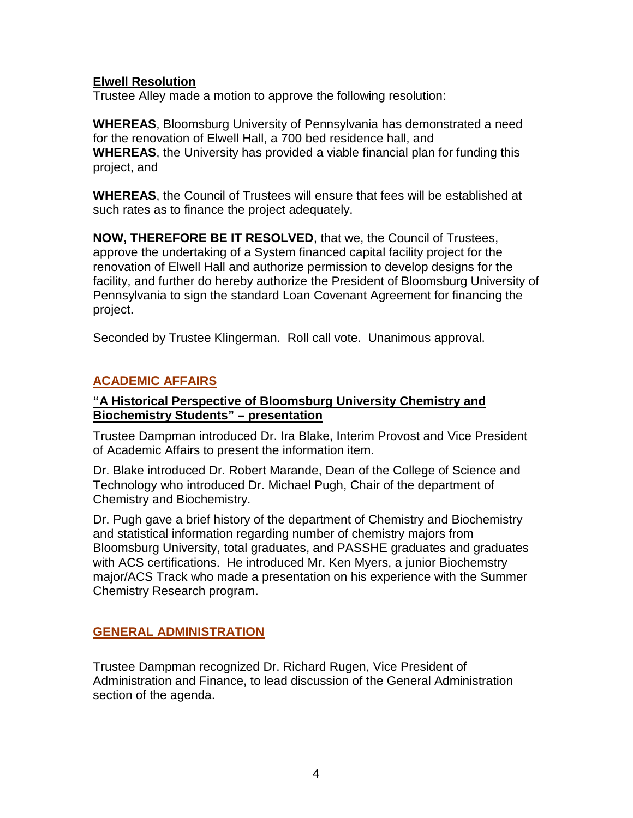# **Elwell Resolution**

Trustee Alley made a motion to approve the following resolution:

**WHEREAS**, Bloomsburg University of Pennsylvania has demonstrated a need for the renovation of Elwell Hall, a 700 bed residence hall, and **WHEREAS**, the University has provided a viable financial plan for funding this project, and

**WHEREAS**, the Council of Trustees will ensure that fees will be established at such rates as to finance the project adequately.

**NOW, THEREFORE BE IT RESOLVED**, that we, the Council of Trustees, approve the undertaking of a System financed capital facility project for the renovation of Elwell Hall and authorize permission to develop designs for the facility, and further do hereby authorize the President of Bloomsburg University of Pennsylvania to sign the standard Loan Covenant Agreement for financing the project.

Seconded by Trustee Klingerman. Roll call vote. Unanimous approval.

# **ACADEMIC AFFAIRS**

# **"A Historical Perspective of Bloomsburg University Chemistry and Biochemistry Students" – presentation**

Trustee Dampman introduced Dr. Ira Blake, Interim Provost and Vice President of Academic Affairs to present the information item.

Dr. Blake introduced Dr. Robert Marande, Dean of the College of Science and Technology who introduced Dr. Michael Pugh, Chair of the department of Chemistry and Biochemistry.

Dr. Pugh gave a brief history of the department of Chemistry and Biochemistry and statistical information regarding number of chemistry majors from Bloomsburg University, total graduates, and PASSHE graduates and graduates with ACS certifications. He introduced Mr. Ken Myers, a junior Biochemstry major/ACS Track who made a presentation on his experience with the Summer Chemistry Research program.

# **GENERAL ADMINISTRATION**

Trustee Dampman recognized Dr. Richard Rugen, Vice President of Administration and Finance, to lead discussion of the General Administration section of the agenda.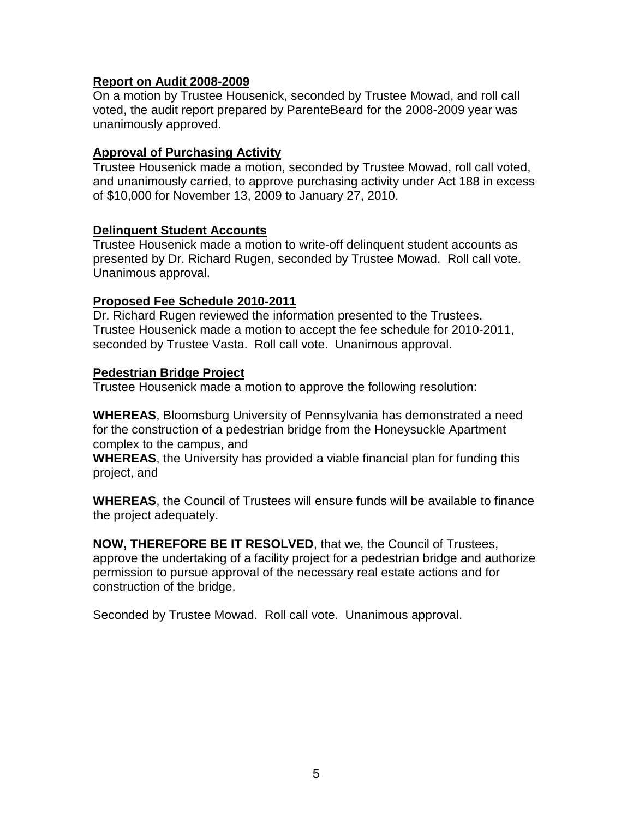### **Report on Audit 2008-2009**

On a motion by Trustee Housenick, seconded by Trustee Mowad, and roll call voted, the audit report prepared by ParenteBeard for the 2008-2009 year was unanimously approved.

### **Approval of Purchasing Activity**

Trustee Housenick made a motion, seconded by Trustee Mowad, roll call voted, and unanimously carried, to approve purchasing activity under Act 188 in excess of \$10,000 for November 13, 2009 to January 27, 2010.

#### **Delinquent Student Accounts**

Trustee Housenick made a motion to write-off delinquent student accounts as presented by Dr. Richard Rugen, seconded by Trustee Mowad. Roll call vote. Unanimous approval.

### **Proposed Fee Schedule 2010-2011**

Dr. Richard Rugen reviewed the information presented to the Trustees. Trustee Housenick made a motion to accept the fee schedule for 2010-2011, seconded by Trustee Vasta. Roll call vote. Unanimous approval.

### **Pedestrian Bridge Project**

Trustee Housenick made a motion to approve the following resolution:

**WHEREAS**, Bloomsburg University of Pennsylvania has demonstrated a need for the construction of a pedestrian bridge from the Honeysuckle Apartment complex to the campus, and

**WHEREAS**, the University has provided a viable financial plan for funding this project, and

**WHEREAS**, the Council of Trustees will ensure funds will be available to finance the project adequately.

**NOW, THEREFORE BE IT RESOLVED**, that we, the Council of Trustees, approve the undertaking of a facility project for a pedestrian bridge and authorize permission to pursue approval of the necessary real estate actions and for construction of the bridge.

Seconded by Trustee Mowad. Roll call vote. Unanimous approval.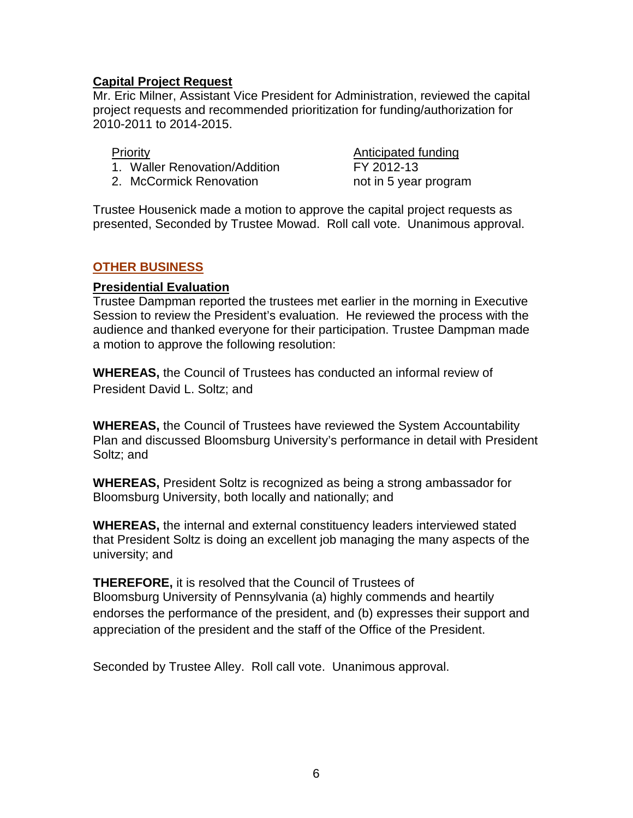# **Capital Project Request**

Mr. Eric Milner, Assistant Vice President for Administration, reviewed the capital project requests and recommended prioritization for funding/authorization for 2010-2011 to 2014-2015.

- 1. Waller Renovation/Addition FY 2012-13
- 2. McCormick Renovation https://www.mot.in 5 year program

**Priority Anticipated funding** 

Trustee Housenick made a motion to approve the capital project requests as presented, Seconded by Trustee Mowad. Roll call vote. Unanimous approval.

# **OTHER BUSINESS**

### **Presidential Evaluation**

Trustee Dampman reported the trustees met earlier in the morning in Executive Session to review the President's evaluation. He reviewed the process with the audience and thanked everyone for their participation. Trustee Dampman made a motion to approve the following resolution:

**WHEREAS,** the Council of Trustees has conducted an informal review of President David L. Soltz; and

**WHEREAS,** the Council of Trustees have reviewed the System Accountability Plan and discussed Bloomsburg University's performance in detail with President Soltz; and

**WHEREAS,** President Soltz is recognized as being a strong ambassador for Bloomsburg University, both locally and nationally; and

**WHEREAS,** the internal and external constituency leaders interviewed stated that President Soltz is doing an excellent job managing the many aspects of the university; and

**THEREFORE,** it is resolved that the Council of Trustees of Bloomsburg University of Pennsylvania (a) highly commends and heartily endorses the performance of the president, and (b) expresses their support and appreciation of the president and the staff of the Office of the President.

Seconded by Trustee Alley. Roll call vote. Unanimous approval.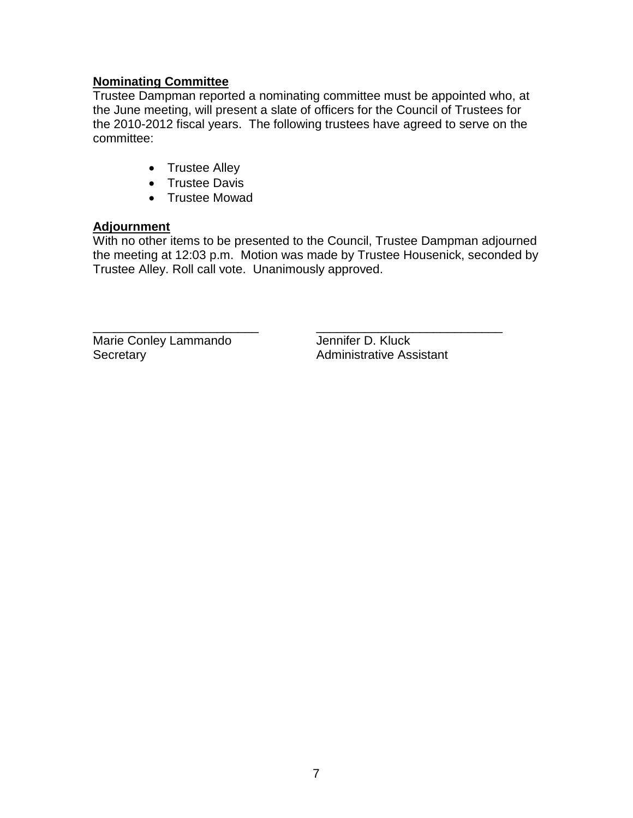# **Nominating Committee**

Trustee Dampman reported a nominating committee must be appointed who, at the June meeting, will present a slate of officers for the Council of Trustees for the 2010-2012 fiscal years. The following trustees have agreed to serve on the committee:

- Trustee Alley
- Trustee Davis
- Trustee Mowad

# **Adjournment**

With no other items to be presented to the Council, Trustee Dampman adjourned the meeting at 12:03 p.m. Motion was made by Trustee Housenick, seconded by Trustee Alley. Roll call vote. Unanimously approved.

\_\_\_\_\_\_\_\_\_\_\_\_\_\_\_\_\_\_\_\_\_\_\_\_ \_\_\_\_\_\_\_\_\_\_\_\_\_\_\_\_\_\_\_\_\_\_\_\_\_\_\_ Marie Conley Lammando Jennifer D. Kluck Secretary **Administrative Assistant**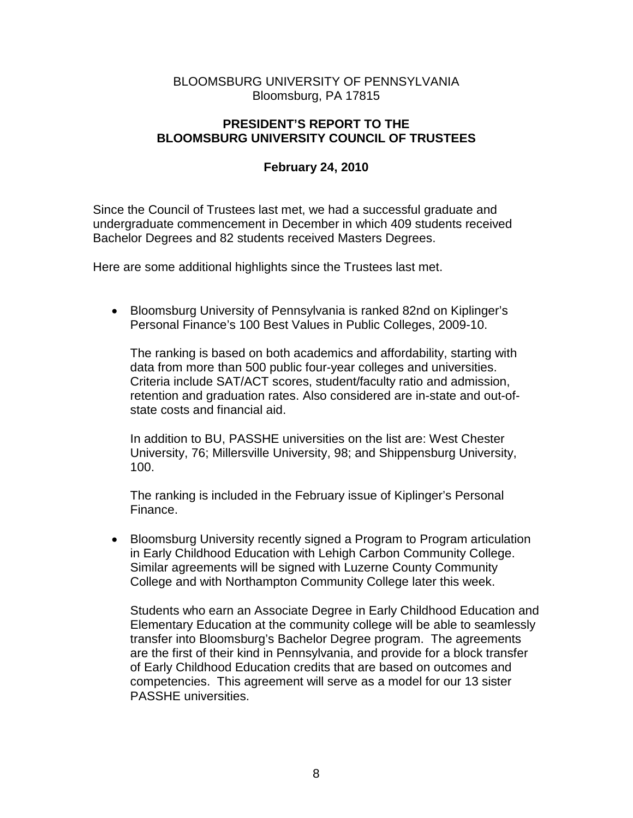# BLOOMSBURG UNIVERSITY OF PENNSYLVANIA Bloomsburg, PA 17815

# **PRESIDENT'S REPORT TO THE BLOOMSBURG UNIVERSITY COUNCIL OF TRUSTEES**

# **February 24, 2010**

Since the Council of Trustees last met, we had a successful graduate and undergraduate commencement in December in which 409 students received Bachelor Degrees and 82 students received Masters Degrees.

Here are some additional highlights since the Trustees last met.

• Bloomsburg University of Pennsylvania is ranked 82nd on Kiplinger's Personal Finance's 100 Best Values in Public Colleges, 2009-10.

The ranking is based on both academics and affordability, starting with data from more than 500 public four-year colleges and universities. Criteria include SAT/ACT scores, student/faculty ratio and admission, retention and graduation rates. Also considered are in-state and out-ofstate costs and financial aid.

In addition to BU, PASSHE universities on the list are: West Chester University, 76; Millersville University, 98; and Shippensburg University, 100.

The ranking is included in the February issue of Kiplinger's Personal Finance.

• Bloomsburg University recently signed a Program to Program articulation in Early Childhood Education with Lehigh Carbon Community College. Similar agreements will be signed with Luzerne County Community College and with Northampton Community College later this week.

Students who earn an Associate Degree in Early Childhood Education and Elementary Education at the community college will be able to seamlessly transfer into Bloomsburg's Bachelor Degree program. The agreements are the first of their kind in Pennsylvania, and provide for a block transfer of Early Childhood Education credits that are based on outcomes and competencies. This agreement will serve as a model for our 13 sister PASSHE universities.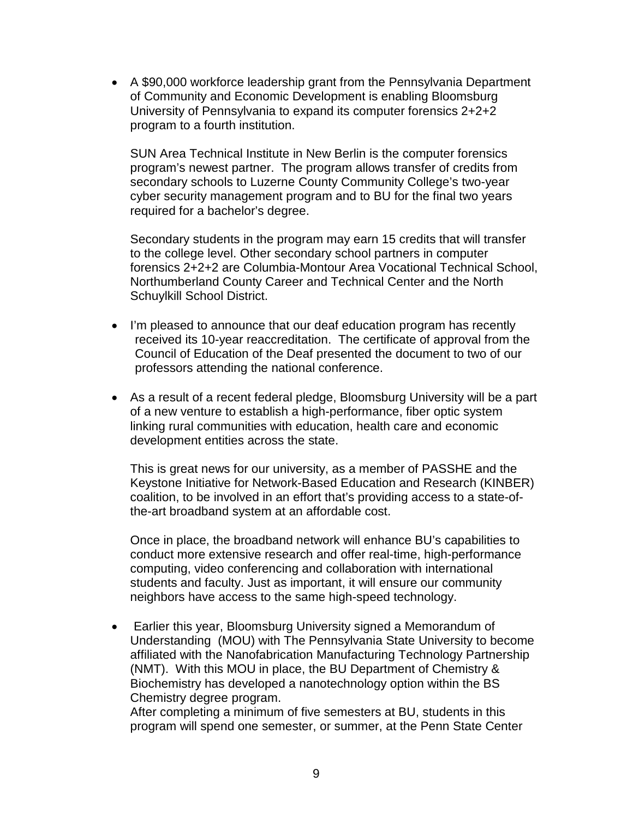• A \$90,000 workforce leadership grant from the Pennsylvania Department of Community and Economic Development is enabling Bloomsburg University of Pennsylvania to expand its computer forensics 2+2+2 program to a fourth institution.

SUN Area Technical Institute in New Berlin is the computer forensics program's newest partner. The program allows transfer of credits from secondary schools to Luzerne County Community College's two-year cyber security management program and to BU for the final two years required for a bachelor's degree.

Secondary students in the program may earn 15 credits that will transfer to the college level. Other secondary school partners in computer forensics 2+2+2 are Columbia-Montour Area Vocational Technical School, Northumberland County Career and Technical Center and the North Schuylkill School District.

- I'm pleased to announce that our deaf education program has recently received its 10-year reaccreditation. The certificate of approval from the Council of Education of the Deaf presented the document to two of our professors attending the national conference.
- As a result of a recent federal pledge, Bloomsburg University will be a part of a new venture to establish a high-performance, fiber optic system linking rural communities with education, health care and economic development entities across the state.

This is great news for our university, as a member of PASSHE and the Keystone Initiative for Network-Based Education and Research (KINBER) coalition, to be involved in an effort that's providing access to a state-ofthe-art broadband system at an affordable cost.

Once in place, the broadband network will enhance BU's capabilities to conduct more extensive research and offer real-time, high-performance computing, video conferencing and collaboration with international students and faculty. Just as important, it will ensure our community neighbors have access to the same high-speed technology.

• Earlier this year, Bloomsburg University signed a Memorandum of Understanding (MOU) with The Pennsylvania State University to become affiliated with the Nanofabrication Manufacturing Technology Partnership (NMT). With this MOU in place, the BU Department of Chemistry & Biochemistry has developed a nanotechnology option within the BS Chemistry degree program.

After completing a minimum of five semesters at BU, students in this program will spend one semester, or summer, at the Penn State Center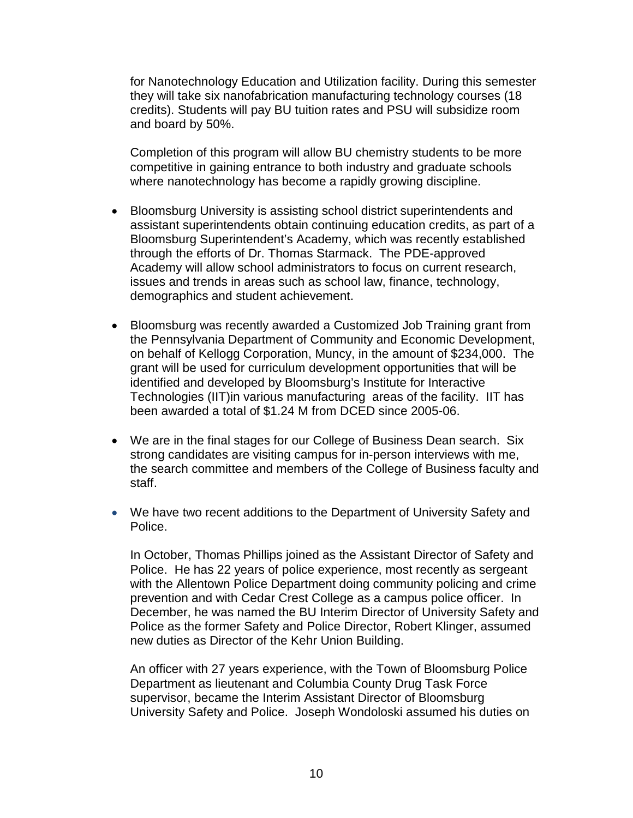for Nanotechnology Education and Utilization facility. During this semester they will take six nanofabrication manufacturing technology courses (18 credits). Students will pay BU tuition rates and PSU will subsidize room and board by 50%.

Completion of this program will allow BU chemistry students to be more competitive in gaining entrance to both industry and graduate schools where nanotechnology has become a rapidly growing discipline.

- Bloomsburg University is assisting school district superintendents and assistant superintendents obtain continuing education credits, as part of a Bloomsburg Superintendent's Academy, which was recently established through the efforts of Dr. Thomas Starmack. The PDE-approved Academy will allow school administrators to focus on current research, issues and trends in areas such as school law, finance, technology, demographics and student achievement.
- Bloomsburg was recently awarded a Customized Job Training grant from the Pennsylvania Department of Community and Economic Development, on behalf of Kellogg Corporation, Muncy, in the amount of \$234,000. The grant will be used for curriculum development opportunities that will be identified and developed by Bloomsburg's Institute for Interactive Technologies (IIT)in various manufacturing areas of the facility. IIT has been awarded a total of \$1.24 M from DCED since 2005-06.
- We are in the final stages for our College of Business Dean search. Six strong candidates are visiting campus for in-person interviews with me, the search committee and members of the College of Business faculty and staff.
- We have two recent additions to the Department of University Safety and Police.

In October, Thomas Phillips joined as the Assistant Director of Safety and Police. He has 22 years of police experience, most recently as sergeant with the Allentown Police Department doing community policing and crime prevention and with Cedar Crest College as a campus police officer. In December, he was named the BU Interim Director of University Safety and Police as the former Safety and Police Director, Robert Klinger, assumed new duties as Director of the Kehr Union Building.

An officer with 27 years experience, with the Town of Bloomsburg Police Department as lieutenant and Columbia County Drug Task Force supervisor, became the Interim Assistant Director of Bloomsburg University Safety and Police. Joseph Wondoloski assumed his duties on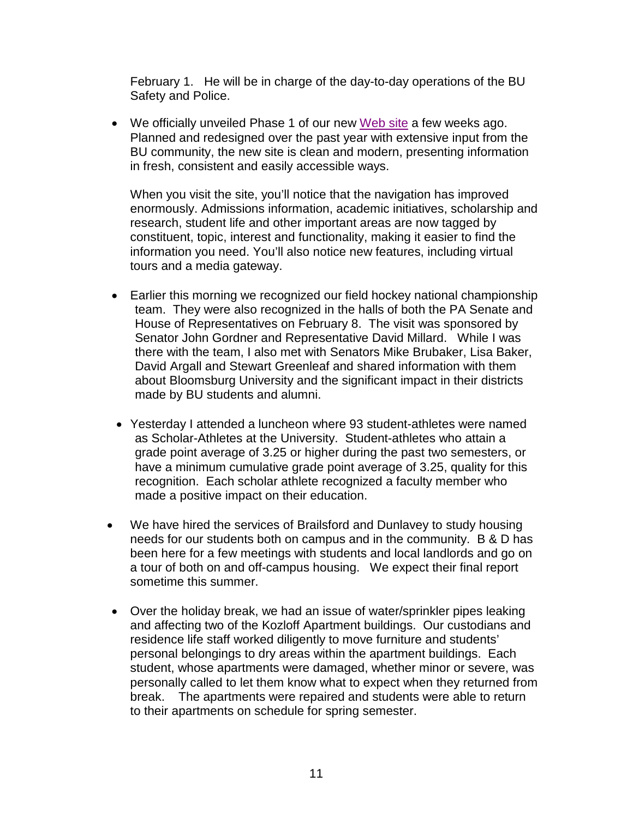February 1. He will be in charge of the day-to-day operations of the BU Safety and Police.

• We officially unveiled Phase 1 of our new [Web site](https://webmail.bloomu.edu/owa/redir.aspx?C=01b338611e1444e2bf56a4b1fdca0d31&URL=http%3a%2f%2fwww.bloomu.edu%2f) a few weeks ago. Planned and redesigned over the past year with extensive input from the BU community, the new site is clean and modern, presenting information in fresh, consistent and easily accessible ways.

When you visit the site, you'll notice that the navigation has improved enormously. Admissions information, academic initiatives, scholarship and research, student life and other important areas are now tagged by constituent, topic, interest and functionality, making it easier to find the information you need. You'll also notice new features, including virtual tours and a media gateway.

- Earlier this morning we recognized our field hockey national championship team. They were also recognized in the halls of both the PA Senate and House of Representatives on February 8. The visit was sponsored by Senator John Gordner and Representative David Millard. While I was there with the team, I also met with Senators Mike Brubaker, Lisa Baker, David Argall and Stewart Greenleaf and shared information with them about Bloomsburg University and the significant impact in their districts made by BU students and alumni.
- Yesterday I attended a luncheon where 93 student-athletes were named as Scholar-Athletes at the University. Student-athletes who attain a grade point average of 3.25 or higher during the past two semesters, or have a minimum cumulative grade point average of 3.25, quality for this recognition. Each scholar athlete recognized a faculty member who made a positive impact on their education.
- We have hired the services of Brailsford and Dunlavey to study housing needs for our students both on campus and in the community. B & D has been here for a few meetings with students and local landlords and go on a tour of both on and off-campus housing. We expect their final report sometime this summer.
- Over the holiday break, we had an issue of water/sprinkler pipes leaking and affecting two of the Kozloff Apartment buildings. Our custodians and residence life staff worked diligently to move furniture and students' personal belongings to dry areas within the apartment buildings. Each student, whose apartments were damaged, whether minor or severe, was personally called to let them know what to expect when they returned from break. The apartments were repaired and students were able to return to their apartments on schedule for spring semester.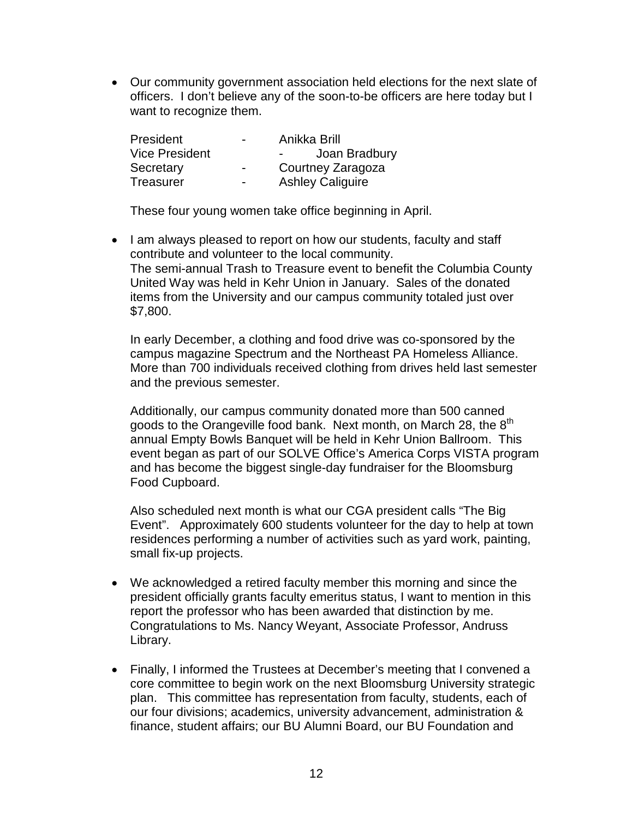• Our community government association held elections for the next slate of officers. I don't believe any of the soon-to-be officers are here today but I want to recognize them.

| President             | $\overline{\phantom{0}}$ | Anikka Brill            |
|-----------------------|--------------------------|-------------------------|
| <b>Vice President</b> |                          | Joan Bradbury           |
| Secretary             | $\overline{\phantom{0}}$ | Courtney Zaragoza       |
| Treasurer             | $\blacksquare$           | <b>Ashley Caliguire</b> |

These four young women take office beginning in April.

• I am always pleased to report on how our students, faculty and staff contribute and volunteer to the local community. The semi-annual Trash to Treasure event to benefit the Columbia County United Way was held in Kehr Union in January. Sales of the donated items from the University and our campus community totaled just over \$7,800.

In early December, a clothing and food drive was co-sponsored by the campus magazine Spectrum and the Northeast PA Homeless Alliance. More than 700 individuals received clothing from drives held last semester and the previous semester.

Additionally, our campus community donated more than 500 canned goods to the Orangeville food bank. Next month, on March 28, the  $8<sup>th</sup>$ annual Empty Bowls Banquet will be held in Kehr Union Ballroom. This event began as part of our SOLVE Office's America Corps VISTA program and has become the biggest single-day fundraiser for the Bloomsburg Food Cupboard.

Also scheduled next month is what our CGA president calls "The Big Event". Approximately 600 students volunteer for the day to help at town residences performing a number of activities such as yard work, painting, small fix-up projects.

- We acknowledged a retired faculty member this morning and since the president officially grants faculty emeritus status, I want to mention in this report the professor who has been awarded that distinction by me. Congratulations to Ms. Nancy Weyant, Associate Professor, Andruss Library.
- Finally, I informed the Trustees at December's meeting that I convened a core committee to begin work on the next Bloomsburg University strategic plan. This committee has representation from faculty, students, each of our four divisions; academics, university advancement, administration & finance, student affairs; our BU Alumni Board, our BU Foundation and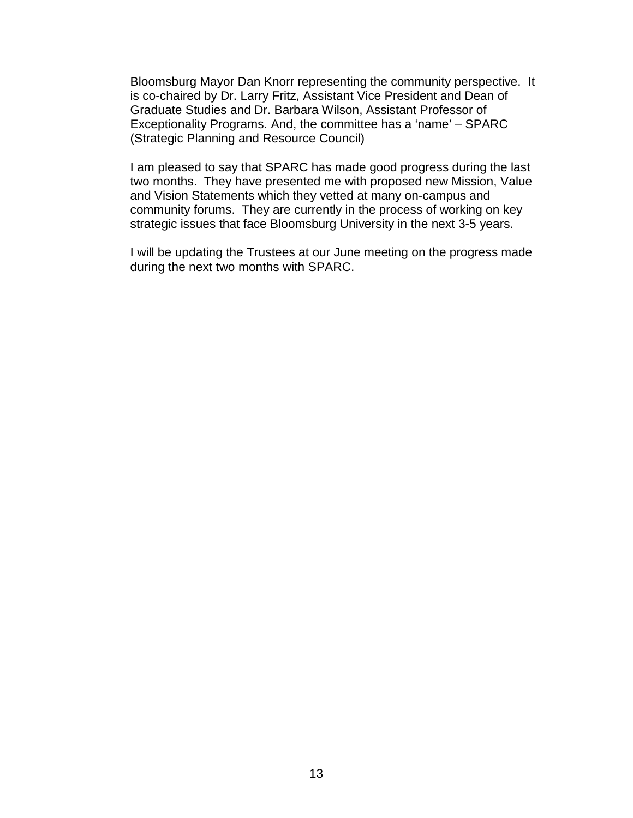Bloomsburg Mayor Dan Knorr representing the community perspective. It is co-chaired by Dr. Larry Fritz, Assistant Vice President and Dean of Graduate Studies and Dr. Barbara Wilson, Assistant Professor of Exceptionality Programs. And, the committee has a 'name' – SPARC (Strategic Planning and Resource Council)

I am pleased to say that SPARC has made good progress during the last two months. They have presented me with proposed new Mission, Value and Vision Statements which they vetted at many on-campus and community forums. They are currently in the process of working on key strategic issues that face Bloomsburg University in the next 3-5 years.

I will be updating the Trustees at our June meeting on the progress made during the next two months with SPARC.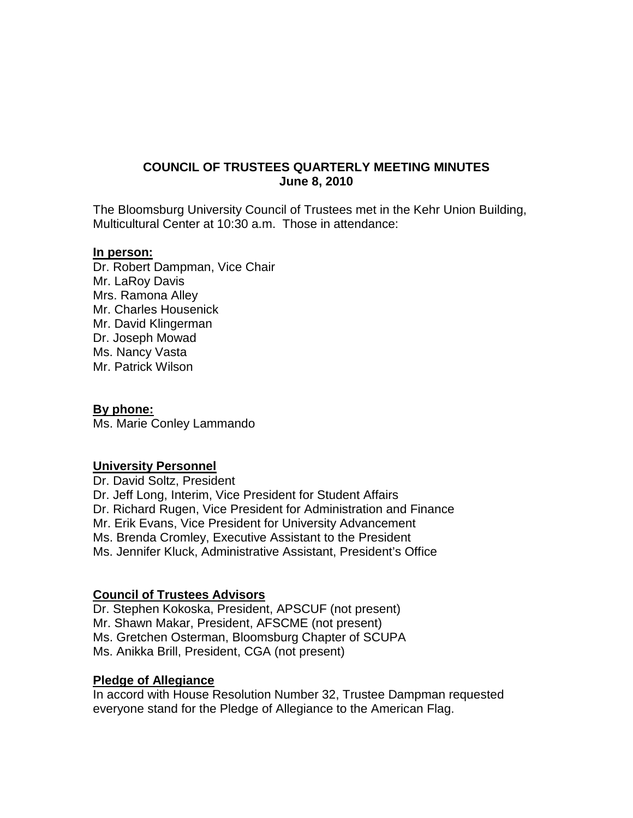# **COUNCIL OF TRUSTEES QUARTERLY MEETING MINUTES June 8, 2010**

The Bloomsburg University Council of Trustees met in the Kehr Union Building, Multicultural Center at 10:30 a.m. Those in attendance:

#### **In person:**

Dr. Robert Dampman, Vice Chair Mr. LaRoy Davis Mrs. Ramona Alley Mr. Charles Housenick Mr. David Klingerman Dr. Joseph Mowad Ms. Nancy Vasta Mr. Patrick Wilson

#### **By phone:**

Ms. Marie Conley Lammando

#### **University Personnel**

Dr. David Soltz, President Dr. Jeff Long, Interim, Vice President for Student Affairs Dr. Richard Rugen, Vice President for Administration and Finance Mr. Erik Evans, Vice President for University Advancement Ms. Brenda Cromley, Executive Assistant to the President Ms. Jennifer Kluck, Administrative Assistant, President's Office

#### **Council of Trustees Advisors**

Dr. Stephen Kokoska, President, APSCUF (not present) Mr. Shawn Makar, President, AFSCME (not present) Ms. Gretchen Osterman, Bloomsburg Chapter of SCUPA Ms. Anikka Brill, President, CGA (not present)

#### **Pledge of Allegiance**

In accord with House Resolution Number 32, Trustee Dampman requested everyone stand for the Pledge of Allegiance to the American Flag.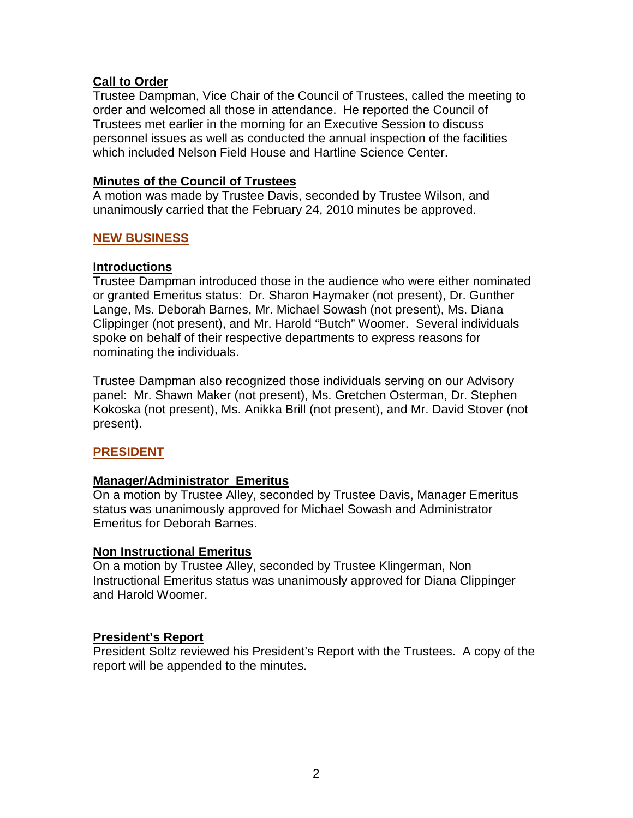# **Call to Order**

Trustee Dampman, Vice Chair of the Council of Trustees, called the meeting to order and welcomed all those in attendance. He reported the Council of Trustees met earlier in the morning for an Executive Session to discuss personnel issues as well as conducted the annual inspection of the facilities which included Nelson Field House and Hartline Science Center.

# **Minutes of the Council of Trustees**

A motion was made by Trustee Davis, seconded by Trustee Wilson, and unanimously carried that the February 24, 2010 minutes be approved.

# **NEW BUSINESS**

# **Introductions**

Trustee Dampman introduced those in the audience who were either nominated or granted Emeritus status: Dr. Sharon Haymaker (not present), Dr. Gunther Lange, Ms. Deborah Barnes, Mr. Michael Sowash (not present), Ms. Diana Clippinger (not present), and Mr. Harold "Butch" Woomer. Several individuals spoke on behalf of their respective departments to express reasons for nominating the individuals.

Trustee Dampman also recognized those individuals serving on our Advisory panel: Mr. Shawn Maker (not present), Ms. Gretchen Osterman, Dr. Stephen Kokoska (not present), Ms. Anikka Brill (not present), and Mr. David Stover (not present).

# **PRESIDENT**

# **Manager/Administrator Emeritus**

On a motion by Trustee Alley, seconded by Trustee Davis, Manager Emeritus status was unanimously approved for Michael Sowash and Administrator Emeritus for Deborah Barnes.

# **Non Instructional Emeritus**

On a motion by Trustee Alley, seconded by Trustee Klingerman, Non Instructional Emeritus status was unanimously approved for Diana Clippinger and Harold Woomer.

# **President's Report**

President Soltz reviewed his President's Report with the Trustees. A copy of the report will be appended to the minutes.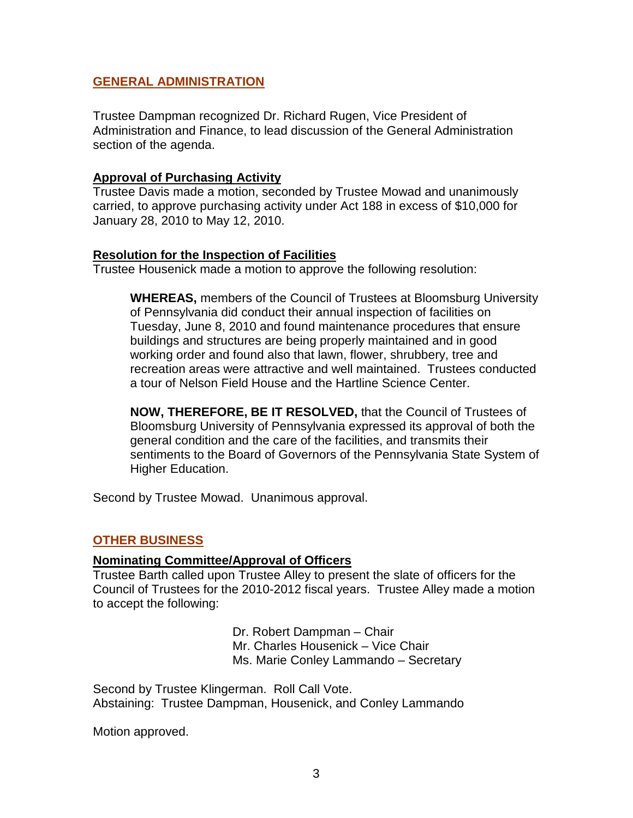### **GENERAL ADMINISTRATION**

Trustee Dampman recognized Dr. Richard Rugen, Vice President of Administration and Finance, to lead discussion of the General Administration section of the agenda.

### **Approval of Purchasing Activity**

Trustee Davis made a motion, seconded by Trustee Mowad and unanimously carried, to approve purchasing activity under Act 188 in excess of \$10,000 for January 28, 2010 to May 12, 2010.

### **Resolution for the Inspection of Facilities**

Trustee Housenick made a motion to approve the following resolution:

**WHEREAS,** members of the Council of Trustees at Bloomsburg University of Pennsylvania did conduct their annual inspection of facilities on Tuesday, June 8, 2010 and found maintenance procedures that ensure buildings and structures are being properly maintained and in good working order and found also that lawn, flower, shrubbery, tree and recreation areas were attractive and well maintained. Trustees conducted a tour of Nelson Field House and the Hartline Science Center.

**NOW, THEREFORE, BE IT RESOLVED,** that the Council of Trustees of Bloomsburg University of Pennsylvania expressed its approval of both the general condition and the care of the facilities, and transmits their sentiments to the Board of Governors of the Pennsylvania State System of Higher Education.

Second by Trustee Mowad. Unanimous approval.

# **OTHER BUSINESS**

# **Nominating Committee/Approval of Officers**

Trustee Barth called upon Trustee Alley to present the slate of officers for the Council of Trustees for the 2010-2012 fiscal years. Trustee Alley made a motion to accept the following:

> Dr. Robert Dampman – Chair Mr. Charles Housenick – Vice Chair Ms. Marie Conley Lammando – Secretary

Second by Trustee Klingerman. Roll Call Vote. Abstaining: Trustee Dampman, Housenick, and Conley Lammando

Motion approved.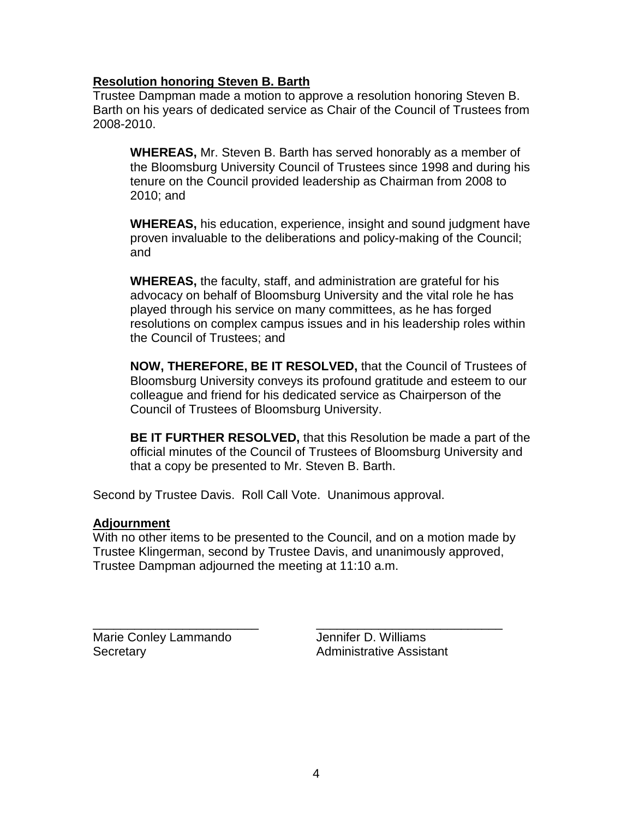# **Resolution honoring Steven B. Barth**

Trustee Dampman made a motion to approve a resolution honoring Steven B. Barth on his years of dedicated service as Chair of the Council of Trustees from 2008-2010.

**WHEREAS,** Mr. Steven B. Barth has served honorably as a member of the Bloomsburg University Council of Trustees since 1998 and during his tenure on the Council provided leadership as Chairman from 2008 to 2010; and

**WHEREAS,** his education, experience, insight and sound judgment have proven invaluable to the deliberations and policy-making of the Council; and

**WHEREAS,** the faculty, staff, and administration are grateful for his advocacy on behalf of Bloomsburg University and the vital role he has played through his service on many committees, as he has forged resolutions on complex campus issues and in his leadership roles within the Council of Trustees; and

**NOW, THEREFORE, BE IT RESOLVED,** that the Council of Trustees of Bloomsburg University conveys its profound gratitude and esteem to our colleague and friend for his dedicated service as Chairperson of the Council of Trustees of Bloomsburg University.

**BE IT FURTHER RESOLVED,** that this Resolution be made a part of the official minutes of the Council of Trustees of Bloomsburg University and that a copy be presented to Mr. Steven B. Barth.

Second by Trustee Davis. Roll Call Vote. Unanimous approval.

# **Adjournment**

With no other items to be presented to the Council, and on a motion made by Trustee Klingerman, second by Trustee Davis, and unanimously approved, Trustee Dampman adjourned the meeting at 11:10 a.m.

Marie Conley Lammando **Jennifer D. Williams** Secretary **Administrative Assistant** 

\_\_\_\_\_\_\_\_\_\_\_\_\_\_\_\_\_\_\_\_\_\_\_\_ \_\_\_\_\_\_\_\_\_\_\_\_\_\_\_\_\_\_\_\_\_\_\_\_\_\_\_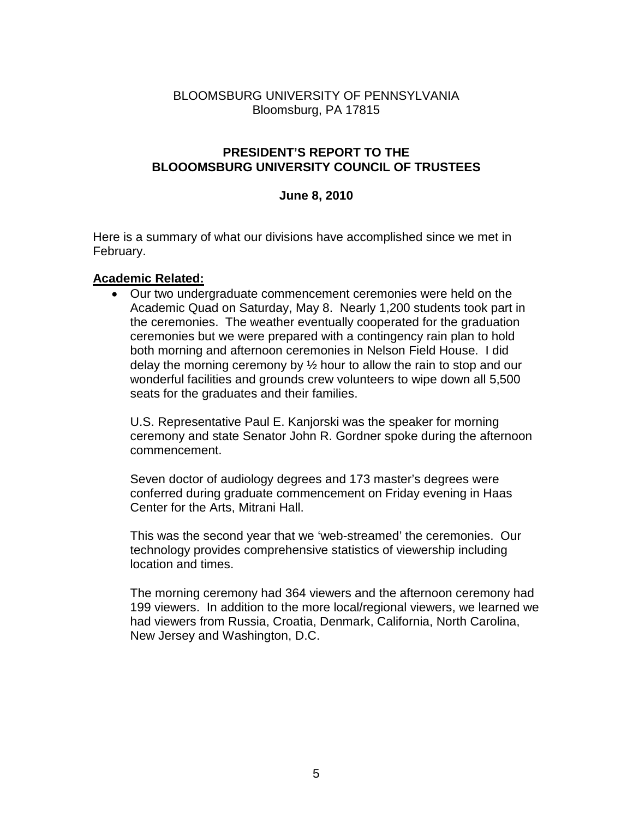# BLOOMSBURG UNIVERSITY OF PENNSYLVANIA Bloomsburg, PA 17815

### **PRESIDENT'S REPORT TO THE BLOOOMSBURG UNIVERSITY COUNCIL OF TRUSTEES**

### **June 8, 2010**

Here is a summary of what our divisions have accomplished since we met in February.

### **Academic Related:**

• Our two undergraduate commencement ceremonies were held on the Academic Quad on Saturday, May 8. Nearly 1,200 students took part in the ceremonies. The weather eventually cooperated for the graduation ceremonies but we were prepared with a contingency rain plan to hold both morning and afternoon ceremonies in Nelson Field House. I did delay the morning ceremony by  $\frac{1}{2}$  hour to allow the rain to stop and our wonderful facilities and grounds crew volunteers to wipe down all 5,500 seats for the graduates and their families.

U.S. Representative Paul E. Kanjorski was the speaker for morning ceremony and state Senator John R. Gordner spoke during the afternoon commencement.

Seven doctor of audiology degrees and 173 master's degrees were conferred during graduate commencement on Friday evening in Haas Center for the Arts, Mitrani Hall.

This was the second year that we 'web-streamed' the ceremonies. Our technology provides comprehensive statistics of viewership including location and times.

The morning ceremony had 364 viewers and the afternoon ceremony had 199 viewers. In addition to the more local/regional viewers, we learned we had viewers from Russia, Croatia, Denmark, California, North Carolina, New Jersey and Washington, D.C.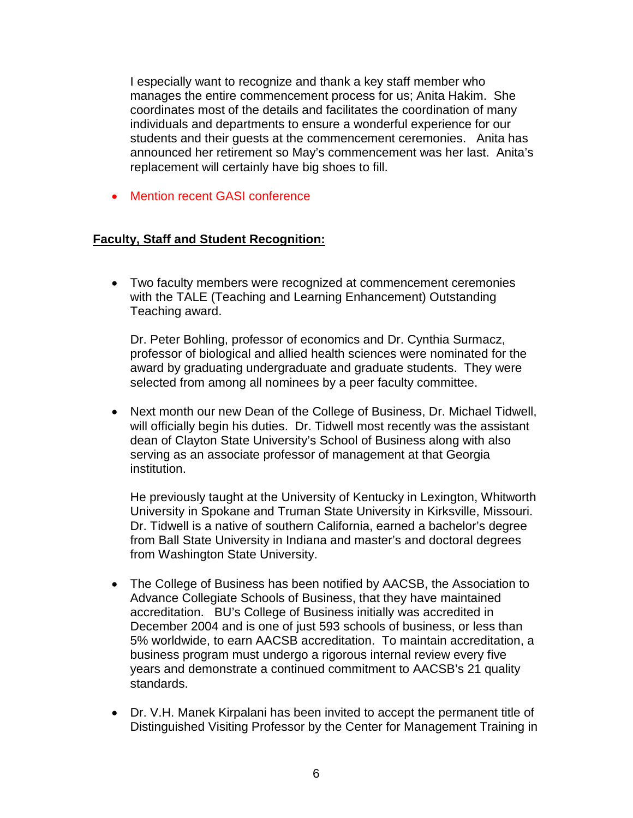I especially want to recognize and thank a key staff member who manages the entire commencement process for us; Anita Hakim. She coordinates most of the details and facilitates the coordination of many individuals and departments to ensure a wonderful experience for our students and their guests at the commencement ceremonies. Anita has announced her retirement so May's commencement was her last. Anita's replacement will certainly have big shoes to fill.

• Mention recent GASI conference

# **Faculty, Staff and Student Recognition:**

• Two faculty members were recognized at commencement ceremonies with the TALE (Teaching and Learning Enhancement) Outstanding Teaching award.

Dr. Peter Bohling, professor of economics and Dr. Cynthia Surmacz, professor of biological and allied health sciences were nominated for the award by graduating undergraduate and graduate students. They were selected from among all nominees by a peer faculty committee.

• Next month our new Dean of the College of Business, Dr. Michael Tidwell, will officially begin his duties. Dr. Tidwell most recently was the assistant dean of Clayton State University's School of Business along with also serving as an associate professor of management at that Georgia institution.

He previously taught at the University of Kentucky in Lexington, Whitworth University in Spokane and Truman State University in Kirksville, Missouri. Dr. Tidwell is a native of southern California, earned a bachelor's degree from Ball State University in Indiana and master's and doctoral degrees from Washington State University.

- The College of Business has been notified by AACSB, the Association to Advance Collegiate Schools of Business, that they have maintained accreditation. BU's College of Business initially was accredited in December 2004 and is one of just 593 schools of business, or less than 5% worldwide, to earn AACSB accreditation. To maintain accreditation, a business program must undergo a rigorous internal review every five years and demonstrate a continued commitment to AACSB's 21 quality standards.
- Dr. V.H. Manek Kirpalani has been invited to accept the permanent title of Distinguished Visiting Professor by the Center for Management Training in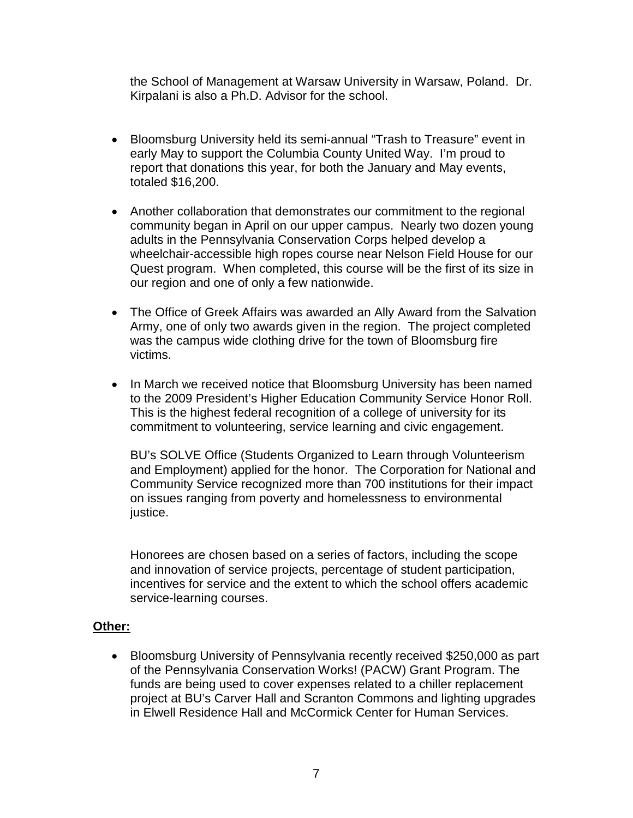the School of Management at Warsaw University in Warsaw, Poland. Dr. Kirpalani is also a Ph.D. Advisor for the school.

- Bloomsburg University held its semi-annual "Trash to Treasure" event in early May to support the Columbia County United Way. I'm proud to report that donations this year, for both the January and May events, totaled \$16,200.
- Another collaboration that demonstrates our commitment to the regional community began in April on our upper campus. Nearly two dozen young adults in the Pennsylvania Conservation Corps helped develop a wheelchair-accessible high ropes course near Nelson Field House for our Quest program. When completed, this course will be the first of its size in our region and one of only a few nationwide.
- The Office of Greek Affairs was awarded an Ally Award from the Salvation Army, one of only two awards given in the region. The project completed was the campus wide clothing drive for the town of Bloomsburg fire victims.
- In March we received notice that Bloomsburg University has been named to the 2009 President's Higher Education Community Service Honor Roll. This is the highest federal recognition of a college of university for its commitment to volunteering, service learning and civic engagement.

BU's SOLVE Office (Students Organized to Learn through Volunteerism and Employment) applied for the honor. The Corporation for National and Community Service recognized more than 700 institutions for their impact on issues ranging from poverty and homelessness to environmental justice.

Honorees are chosen based on a series of factors, including the scope and innovation of service projects, percentage of student participation, incentives for service and the extent to which the school offers academic service-learning courses.

# **Other:**

• Bloomsburg University of Pennsylvania recently received \$250,000 as part of the Pennsylvania Conservation Works! (PACW) Grant Program. The funds are being used to cover expenses related to a chiller replacement project at BU's Carver Hall and Scranton Commons and lighting upgrades in Elwell Residence Hall and McCormick Center for Human Services.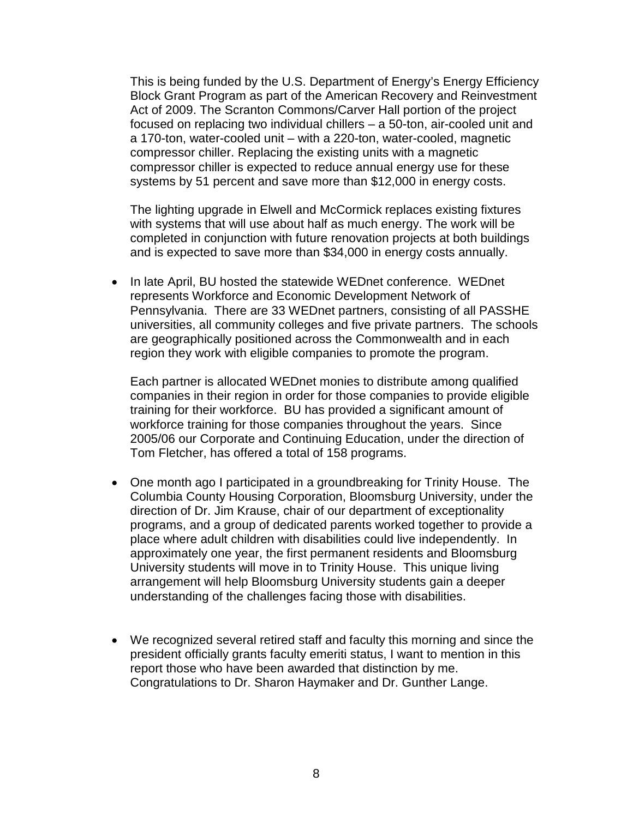This is being funded by the U.S. Department of Energy's Energy Efficiency Block Grant Program as part of the American Recovery and Reinvestment Act of 2009. The Scranton Commons/Carver Hall portion of the project focused on replacing two individual chillers – a 50-ton, air-cooled unit and a 170-ton, water-cooled unit – with a 220-ton, water-cooled, magnetic compressor chiller. Replacing the existing units with a magnetic compressor chiller is expected to reduce annual energy use for these systems by 51 percent and save more than \$12,000 in energy costs.

The lighting upgrade in Elwell and McCormick replaces existing fixtures with systems that will use about half as much energy. The work will be completed in conjunction with future renovation projects at both buildings and is expected to save more than \$34,000 in energy costs annually.

• In late April, BU hosted the statewide WEDnet conference. WEDnet represents Workforce and Economic Development Network of Pennsylvania. There are 33 WEDnet partners, consisting of all PASSHE universities, all community colleges and five private partners. The schools are geographically positioned across the Commonwealth and in each region they work with eligible companies to promote the program.

Each partner is allocated WEDnet monies to distribute among qualified companies in their region in order for those companies to provide eligible training for their workforce. BU has provided a significant amount of workforce training for those companies throughout the years. Since 2005/06 our Corporate and Continuing Education, under the direction of Tom Fletcher, has offered a total of 158 programs.

- One month ago I participated in a groundbreaking for Trinity House. The Columbia County Housing Corporation, Bloomsburg University, under the direction of Dr. Jim Krause, chair of our department of exceptionality programs, and a group of dedicated parents worked together to provide a place where adult children with disabilities could live independently. In approximately one year, the first permanent residents and Bloomsburg University students will move in to Trinity House. This unique living arrangement will help Bloomsburg University students gain a deeper understanding of the challenges facing those with disabilities.
- We recognized several retired staff and faculty this morning and since the president officially grants faculty emeriti status, I want to mention in this report those who have been awarded that distinction by me. Congratulations to Dr. Sharon Haymaker and Dr. Gunther Lange.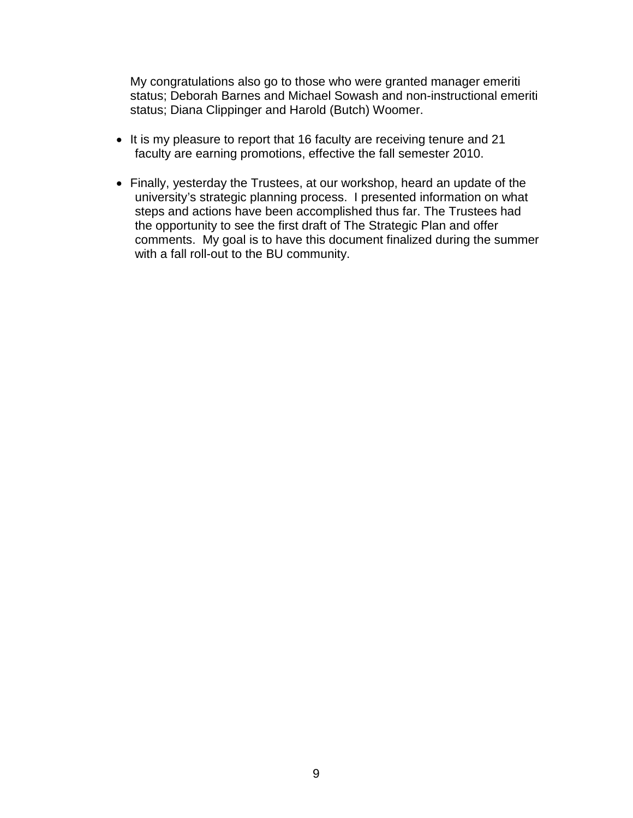My congratulations also go to those who were granted manager emeriti status; Deborah Barnes and Michael Sowash and non-instructional emeriti status; Diana Clippinger and Harold (Butch) Woomer.

- It is my pleasure to report that 16 faculty are receiving tenure and 21 faculty are earning promotions, effective the fall semester 2010.
- Finally, yesterday the Trustees, at our workshop, heard an update of the university's strategic planning process. I presented information on what steps and actions have been accomplished thus far. The Trustees had the opportunity to see the first draft of The Strategic Plan and offer comments. My goal is to have this document finalized during the summer with a fall roll-out to the BU community.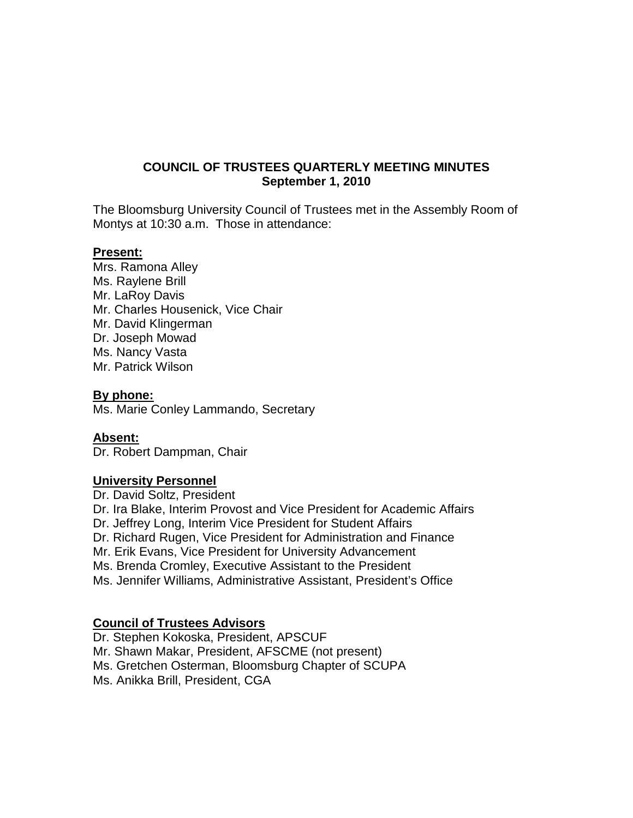# **COUNCIL OF TRUSTEES QUARTERLY MEETING MINUTES September 1, 2010**

The Bloomsburg University Council of Trustees met in the Assembly Room of Montys at 10:30 a.m. Those in attendance:

### **Present:**

Mrs. Ramona Alley Ms. Raylene Brill Mr. LaRoy Davis Mr. Charles Housenick, Vice Chair Mr. David Klingerman Dr. Joseph Mowad Ms. Nancy Vasta Mr. Patrick Wilson

#### **By phone:**

Ms. Marie Conley Lammando, Secretary

#### **Absent:**

Dr. Robert Dampman, Chair

# **University Personnel**

Dr. David Soltz, President Dr. Ira Blake, Interim Provost and Vice President for Academic Affairs Dr. Jeffrey Long, Interim Vice President for Student Affairs Dr. Richard Rugen, Vice President for Administration and Finance Mr. Erik Evans, Vice President for University Advancement Ms. Brenda Cromley, Executive Assistant to the President Ms. Jennifer Williams, Administrative Assistant, President's Office

# **Council of Trustees Advisors**

Dr. Stephen Kokoska, President, APSCUF Mr. Shawn Makar, President, AFSCME (not present) Ms. Gretchen Osterman, Bloomsburg Chapter of SCUPA Ms. Anikka Brill, President, CGA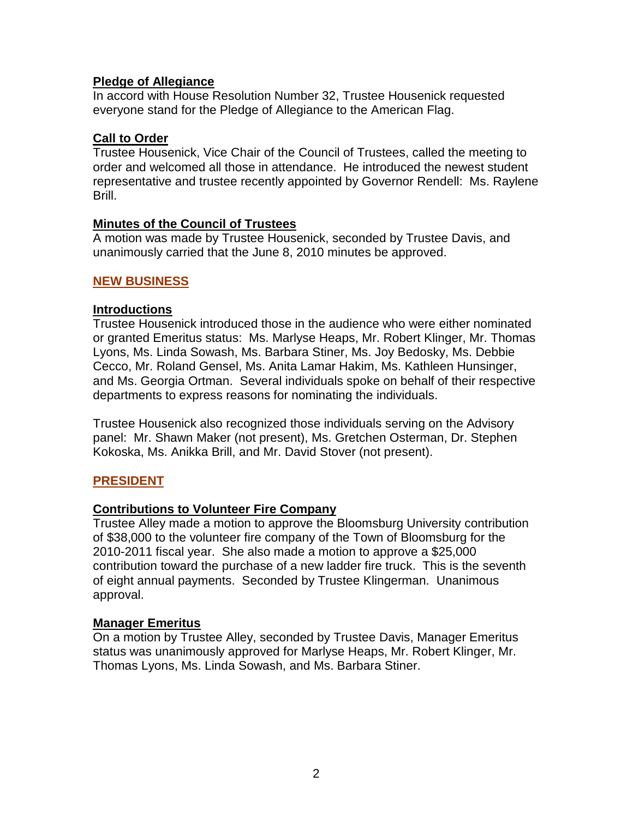# **Pledge of Allegiance**

In accord with House Resolution Number 32, Trustee Housenick requested everyone stand for the Pledge of Allegiance to the American Flag.

# **Call to Order**

Trustee Housenick, Vice Chair of the Council of Trustees, called the meeting to order and welcomed all those in attendance. He introduced the newest student representative and trustee recently appointed by Governor Rendell: Ms. Raylene Brill.

# **Minutes of the Council of Trustees**

A motion was made by Trustee Housenick, seconded by Trustee Davis, and unanimously carried that the June 8, 2010 minutes be approved.

# **NEW BUSINESS**

# **Introductions**

Trustee Housenick introduced those in the audience who were either nominated or granted Emeritus status: Ms. Marlyse Heaps, Mr. Robert Klinger, Mr. Thomas Lyons, Ms. Linda Sowash, Ms. Barbara Stiner, Ms. Joy Bedosky, Ms. Debbie Cecco, Mr. Roland Gensel, Ms. Anita Lamar Hakim, Ms. Kathleen Hunsinger, and Ms. Georgia Ortman. Several individuals spoke on behalf of their respective departments to express reasons for nominating the individuals.

Trustee Housenick also recognized those individuals serving on the Advisory panel: Mr. Shawn Maker (not present), Ms. Gretchen Osterman, Dr. Stephen Kokoska, Ms. Anikka Brill, and Mr. David Stover (not present).

# **PRESIDENT**

# **Contributions to Volunteer Fire Company**

Trustee Alley made a motion to approve the Bloomsburg University contribution of \$38,000 to the volunteer fire company of the Town of Bloomsburg for the 2010-2011 fiscal year. She also made a motion to approve a \$25,000 contribution toward the purchase of a new ladder fire truck. This is the seventh of eight annual payments. Seconded by Trustee Klingerman. Unanimous approval.

# **Manager Emeritus**

On a motion by Trustee Alley, seconded by Trustee Davis, Manager Emeritus status was unanimously approved for Marlyse Heaps, Mr. Robert Klinger, Mr. Thomas Lyons, Ms. Linda Sowash, and Ms. Barbara Stiner.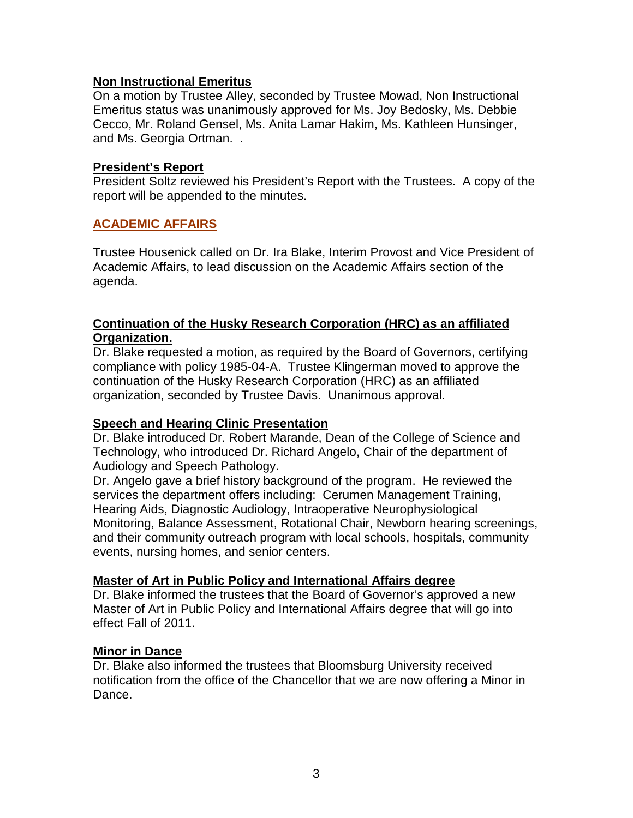# **Non Instructional Emeritus**

On a motion by Trustee Alley, seconded by Trustee Mowad, Non Instructional Emeritus status was unanimously approved for Ms. Joy Bedosky, Ms. Debbie Cecco, Mr. Roland Gensel, Ms. Anita Lamar Hakim, Ms. Kathleen Hunsinger, and Ms. Georgia Ortman. .

# **President's Report**

President Soltz reviewed his President's Report with the Trustees. A copy of the report will be appended to the minutes.

### **ACADEMIC AFFAIRS**

Trustee Housenick called on Dr. Ira Blake, Interim Provost and Vice President of Academic Affairs, to lead discussion on the Academic Affairs section of the agenda.

# *<sup>U</sup>***Continuation of the Husky Research Corporation (HRC) as an affiliated Organization.**

Dr. Blake requested a motion, as required by the Board of Governors, certifying compliance with policy 1985-04-A. Trustee Klingerman moved to approve the continuation of the Husky Research Corporation (HRC) as an affiliated organization, seconded by Trustee Davis. Unanimous approval.

# **Speech and Hearing Clinic Presentation**

Dr. Blake introduced Dr. Robert Marande, Dean of the College of Science and Technology, who introduced Dr. Richard Angelo, Chair of the department of Audiology and Speech Pathology.

Dr. Angelo gave a brief history background of the program. He reviewed the services the department offers including: Cerumen Management Training, Hearing Aids, Diagnostic Audiology, Intraoperative Neurophysiological Monitoring, Balance Assessment, Rotational Chair, Newborn hearing screenings, and their community outreach program with local schools, hospitals, community events, nursing homes, and senior centers.

#### **Master of Art in Public Policy and International Affairs degree**

Dr. Blake informed the trustees that the Board of Governor's approved a new Master of Art in Public Policy and International Affairs degree that will go into effect Fall of 2011.

#### **Minor in Dance**

Dr. Blake also informed the trustees that Bloomsburg University received notification from the office of the Chancellor that we are now offering a Minor in Dance.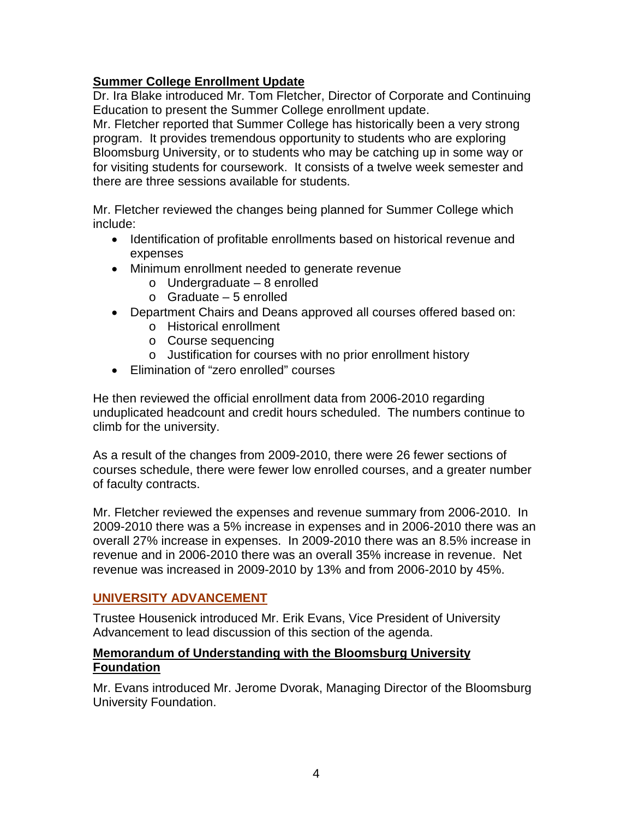# **Summer College Enrollment Update**

Dr. Ira Blake introduced Mr. Tom Fletcher, Director of Corporate and Continuing Education to present the Summer College enrollment update.

Mr. Fletcher reported that Summer College has historically been a very strong program. It provides tremendous opportunity to students who are exploring Bloomsburg University, or to students who may be catching up in some way or for visiting students for coursework. It consists of a twelve week semester and there are three sessions available for students.

Mr. Fletcher reviewed the changes being planned for Summer College which include:

- Identification of profitable enrollments based on historical revenue and expenses
- Minimum enrollment needed to generate revenue
	- o Undergraduate 8 enrolled
	- o Graduate 5 enrolled
- Department Chairs and Deans approved all courses offered based on:
	- o Historical enrollment
	- o Course sequencing
	- o Justification for courses with no prior enrollment history
- Elimination of "zero enrolled" courses

He then reviewed the official enrollment data from 2006-2010 regarding unduplicated headcount and credit hours scheduled. The numbers continue to climb for the university.

As a result of the changes from 2009-2010, there were 26 fewer sections of courses schedule, there were fewer low enrolled courses, and a greater number of faculty contracts.

Mr. Fletcher reviewed the expenses and revenue summary from 2006-2010. In 2009-2010 there was a 5% increase in expenses and in 2006-2010 there was an overall 27% increase in expenses. In 2009-2010 there was an 8.5% increase in revenue and in 2006-2010 there was an overall 35% increase in revenue. Net revenue was increased in 2009-2010 by 13% and from 2006-2010 by 45%.

# **UNIVERSITY ADVANCEMENT**

Trustee Housenick introduced Mr. Erik Evans, Vice President of University Advancement to lead discussion of this section of the agenda.

# **Memorandum of Understanding with the Bloomsburg University Foundation**

Mr. Evans introduced Mr. Jerome Dvorak, Managing Director of the Bloomsburg University Foundation.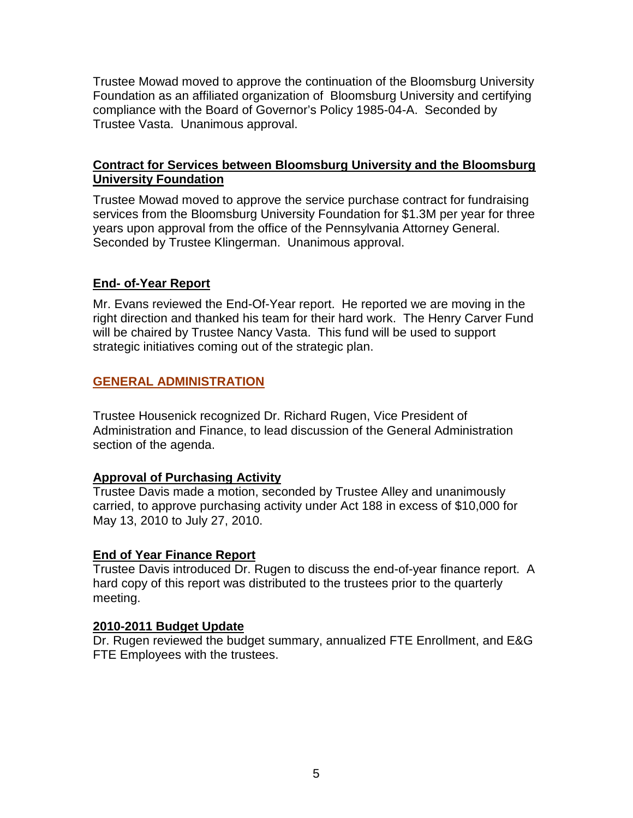Trustee Mowad moved to approve the continuation of the Bloomsburg University Foundation as an affiliated organization of Bloomsburg University and certifying compliance with the Board of Governor's Policy 1985-04-A. Seconded by Trustee Vasta. Unanimous approval.

# **Contract for Services between Bloomsburg University and the Bloomsburg University Foundation**

Trustee Mowad moved to approve the service purchase contract for fundraising services from the Bloomsburg University Foundation for \$1.3M per year for three years upon approval from the office of the Pennsylvania Attorney General. Seconded by Trustee Klingerman. Unanimous approval.

# **End- of-Year Report**

Mr. Evans reviewed the End-Of-Year report. He reported we are moving in the right direction and thanked his team for their hard work. The Henry Carver Fund will be chaired by Trustee Nancy Vasta. This fund will be used to support strategic initiatives coming out of the strategic plan.

# **GENERAL ADMINISTRATION**

Trustee Housenick recognized Dr. Richard Rugen, Vice President of Administration and Finance, to lead discussion of the General Administration section of the agenda.

# **Approval of Purchasing Activity**

Trustee Davis made a motion, seconded by Trustee Alley and unanimously carried, to approve purchasing activity under Act 188 in excess of \$10,000 for May 13, 2010 to July 27, 2010.

# **End of Year Finance Report**

Trustee Davis introduced Dr. Rugen to discuss the end-of-year finance report. A hard copy of this report was distributed to the trustees prior to the quarterly meeting.

# **2010-2011 Budget Update**

Dr. Rugen reviewed the budget summary, annualized FTE Enrollment, and E&G FTE Employees with the trustees.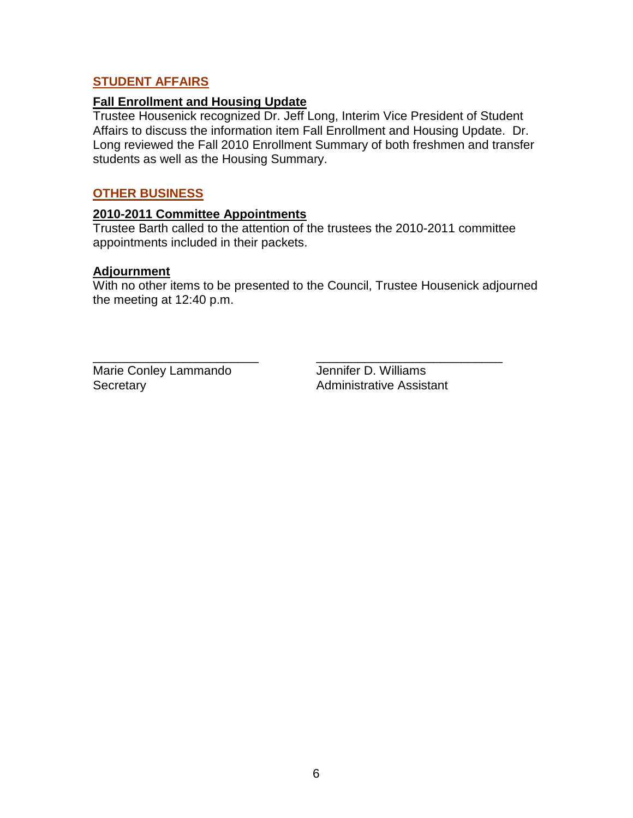# **STUDENT AFFAIRS**

### **Fall Enrollment and Housing Update**

Trustee Housenick recognized Dr. Jeff Long, Interim Vice President of Student Affairs to discuss the information item Fall Enrollment and Housing Update. Dr. Long reviewed the Fall 2010 Enrollment Summary of both freshmen and transfer students as well as the Housing Summary.

### **OTHER BUSINESS**

### **2010-2011 Committee Appointments**

Trustee Barth called to the attention of the trustees the 2010-2011 committee appointments included in their packets.

### **Adjournment**

With no other items to be presented to the Council, Trustee Housenick adjourned the meeting at 12:40 p.m.

\_\_\_\_\_\_\_\_\_\_\_\_\_\_\_\_\_\_\_\_\_\_\_\_ \_\_\_\_\_\_\_\_\_\_\_\_\_\_\_\_\_\_\_\_\_\_\_\_\_\_\_ Marie Conley Lammando Jennifer D. Williams Secretary **Administrative Assistant**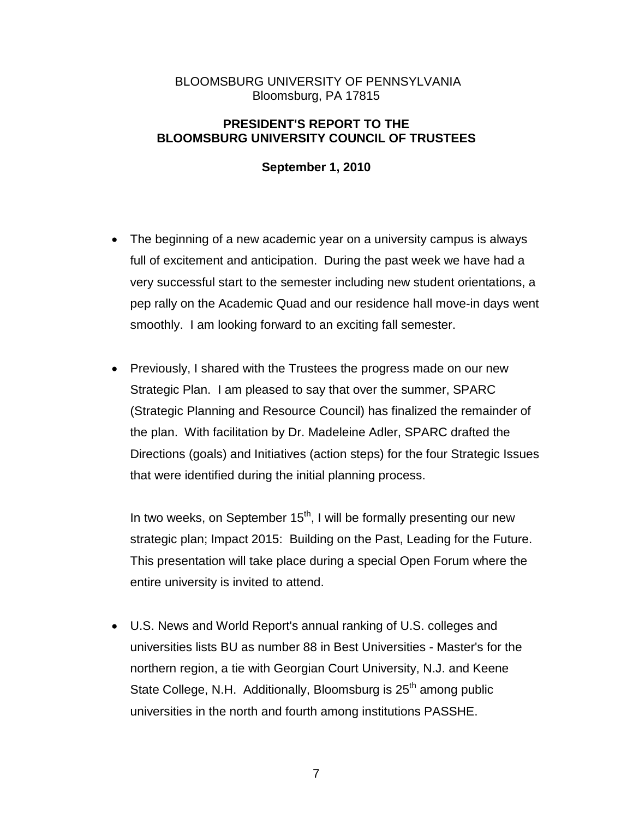# BLOOMSBURG UNIVERSITY OF PENNSYLVANIA Bloomsburg, PA 17815

### **PRESIDENT'S REPORT TO THE BLOOMSBURG UNIVERSITY COUNCIL OF TRUSTEES**

# **September 1, 2010**

- The beginning of a new academic year on a university campus is always full of excitement and anticipation. During the past week we have had a very successful start to the semester including new student orientations, a pep rally on the Academic Quad and our residence hall move-in days went smoothly. I am looking forward to an exciting fall semester.
- Previously, I shared with the Trustees the progress made on our new Strategic Plan. I am pleased to say that over the summer, SPARC (Strategic Planning and Resource Council) has finalized the remainder of the plan. With facilitation by Dr. Madeleine Adler, SPARC drafted the Directions (goals) and Initiatives (action steps) for the four Strategic Issues that were identified during the initial planning process.

In two weeks, on September  $15<sup>th</sup>$ , I will be formally presenting our new strategic plan; Impact 2015: Building on the Past, Leading for the Future. This presentation will take place during a special Open Forum where the entire university is invited to attend.

• U.S. News and World Report's annual ranking of U.S. colleges and universities lists BU as number 88 in Best Universities - Master's for the northern region, a tie with Georgian Court University, N.J. and Keene State College, N.H. Additionally, Bloomsburg is 25<sup>th</sup> among public universities in the north and fourth among institutions PASSHE.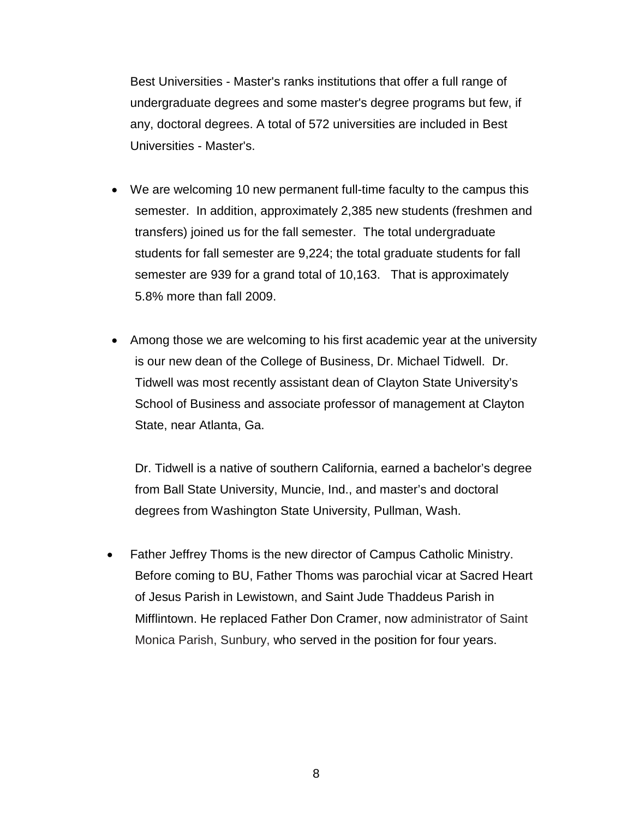Best Universities - Master's ranks institutions that offer a full range of undergraduate degrees and some master's degree programs but few, if any, doctoral degrees. A total of 572 universities are included in Best Universities - Master's.

- We are welcoming 10 new permanent full-time faculty to the campus this semester. In addition, approximately 2,385 new students (freshmen and transfers) joined us for the fall semester. The total undergraduate students for fall semester are 9,224; the total graduate students for fall semester are 939 for a grand total of 10,163. That is approximately 5.8% more than fall 2009.
- Among those we are welcoming to his first academic year at the university is our new dean of the College of Business, Dr. Michael Tidwell. Dr. Tidwell was most recently assistant dean of Clayton State University's School of Business and associate professor of management at Clayton State, near Atlanta, Ga.

Dr. Tidwell is a native of southern California, earned a bachelor's degree from Ball State University, Muncie, Ind., and master's and doctoral degrees from Washington State University, Pullman, Wash.

Father Jeffrey Thoms is the new director of Campus Catholic Ministry. Before coming to BU, Father Thoms was parochial vicar at Sacred Heart of Jesus Parish in Lewistown, and Saint Jude Thaddeus Parish in Mifflintown. He replaced Father Don Cramer, now administrator of Saint Monica Parish, Sunbury, who served in the position for four years.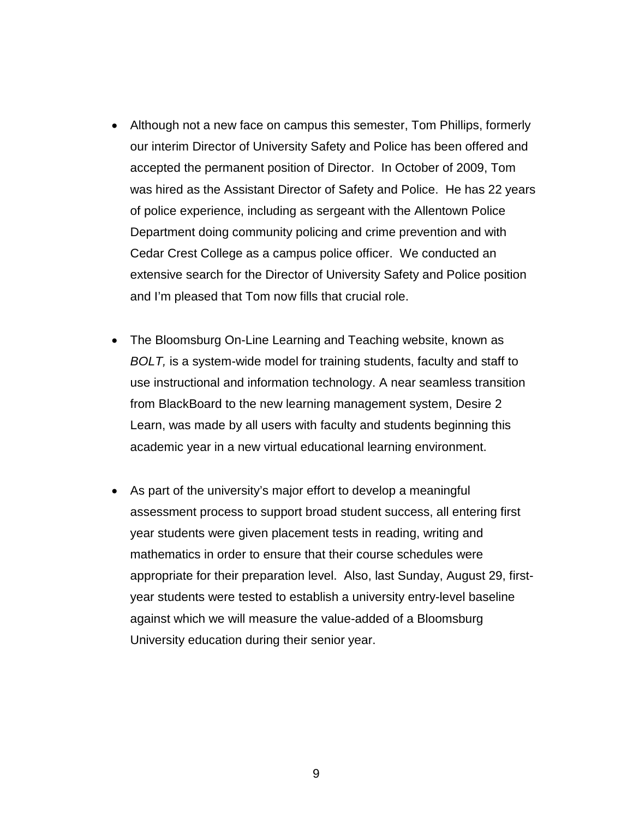- Although not a new face on campus this semester, Tom Phillips, formerly our interim Director of University Safety and Police has been offered and accepted the permanent position of Director. In October of 2009, Tom was hired as the Assistant Director of Safety and Police. He has 22 years of police experience, including as sergeant with the Allentown Police Department doing community policing and crime prevention and with Cedar Crest College as a campus police officer. We conducted an extensive search for the Director of University Safety and Police position and I'm pleased that Tom now fills that crucial role.
- The Bloomsburg On-Line Learning and Teaching website, known as *BOLT,* is a system-wide model for training students, faculty and staff to use instructional and information technology. A near seamless transition from BlackBoard to the new learning management system, Desire 2 Learn, was made by all users with faculty and students beginning this academic year in a new virtual educational learning environment.
- As part of the university's major effort to develop a meaningful assessment process to support broad student success, all entering first year students were given placement tests in reading, writing and mathematics in order to ensure that their course schedules were appropriate for their preparation level. Also, last Sunday, August 29, firstyear students were tested to establish a university entry-level baseline against which we will measure the value-added of a Bloomsburg University education during their senior year.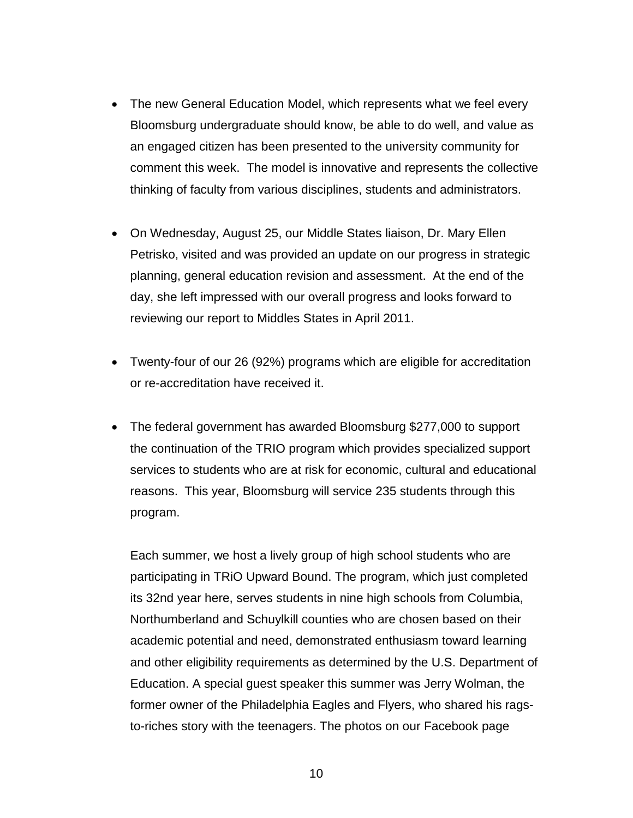- The new General Education Model, which represents what we feel every Bloomsburg undergraduate should know, be able to do well, and value as an engaged citizen has been presented to the university community for comment this week. The model is innovative and represents the collective thinking of faculty from various disciplines, students and administrators.
- On Wednesday, August 25, our Middle States liaison, Dr. Mary Ellen Petrisko, visited and was provided an update on our progress in strategic planning, general education revision and assessment. At the end of the day, she left impressed with our overall progress and looks forward to reviewing our report to Middles States in April 2011.
- Twenty-four of our 26 (92%) programs which are eligible for accreditation or re-accreditation have received it.
- The federal government has awarded Bloomsburg \$277,000 to support the continuation of the TRIO program which provides specialized support services to students who are at risk for economic, cultural and educational reasons. This year, Bloomsburg will service 235 students through this program.

Each summer, we host a lively group of high school students who are participating in TRiO Upward Bound. The program, which just completed its 32nd year here, serves students in nine high schools from Columbia, Northumberland and Schuylkill counties who are chosen based on their academic potential and need, demonstrated enthusiasm toward learning and other eligibility requirements as determined by the U.S. Department of Education. A special guest speaker this summer was Jerry Wolman, the former owner of the Philadelphia Eagles and Flyers, who shared his ragsto-riches story with the teenagers. The photos on our Facebook page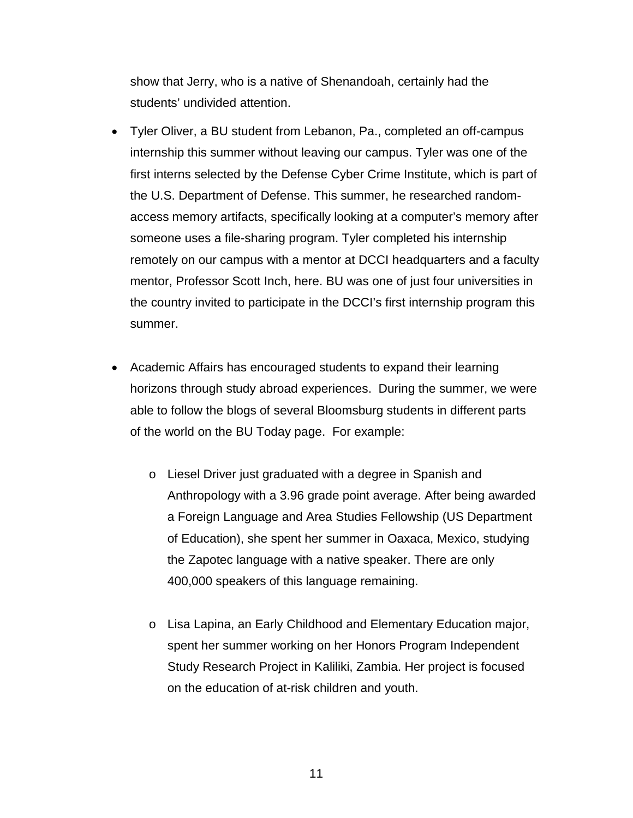show that Jerry, who is a native of Shenandoah, certainly had the students' undivided attention.

- Tyler Oliver, a BU student from Lebanon, Pa., completed an off-campus internship this summer without leaving our campus. Tyler was one of the first interns selected by the Defense Cyber Crime Institute, which is part of the U.S. Department of Defense. This summer, he researched randomaccess memory artifacts, specifically looking at a computer's memory after someone uses a file-sharing program. Tyler completed his internship remotely on our campus with a mentor at DCCI headquarters and a faculty mentor, Professor Scott Inch, here. BU was one of just four universities in the country invited to participate in the DCCI's first internship program this summer.
- Academic Affairs has encouraged students to expand their learning horizons through study abroad experiences. During the summer, we were able to follow the blogs of several Bloomsburg students in different parts of the world on the BU Today page. For example:
	- o Liesel Driver just graduated with a degree in Spanish and Anthropology with a 3.96 grade point average. After being awarded a Foreign Language and Area Studies Fellowship (US Department of Education), she spent her summer in Oaxaca, Mexico, studying the Zapotec language with a native speaker. There are only 400,000 speakers of this language remaining.
	- o Lisa Lapina, an Early Childhood and Elementary Education major, spent her summer working on her Honors Program Independent Study Research Project in Kaliliki, Zambia. Her project is focused on the education of at-risk children and youth.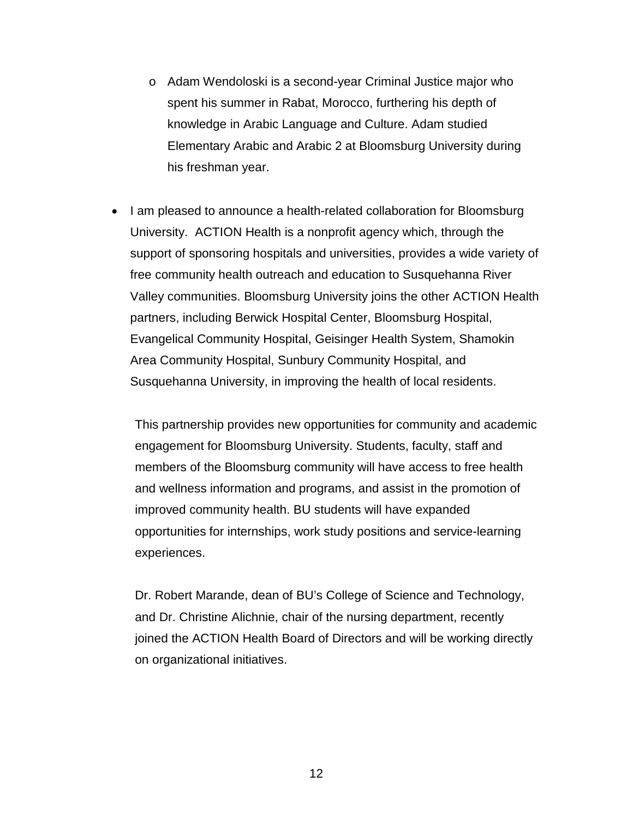- o Adam Wendoloski is a second-year Criminal Justice major who spent his summer in Rabat, Morocco, furthering his depth of knowledge in Arabic Language and Culture. Adam studied Elementary Arabic and Arabic 2 at Bloomsburg University during his freshman year.
- I am pleased to announce a health-related collaboration for Bloomsburg University. ACTION Health is a nonprofit agency which, through the support of sponsoring hospitals and universities, provides a wide variety of free community health outreach and education to Susquehanna River Valley communities. Bloomsburg University joins the other ACTION Health partners, including Berwick Hospital Center, Bloomsburg Hospital, Evangelical Community Hospital, Geisinger Health System, Shamokin Area Community Hospital, Sunbury Community Hospital, and Susquehanna University, in improving the health of local residents.

This partnership provides new opportunities for community and academic engagement for Bloomsburg University. Students, faculty, staff and members of the Bloomsburg community will have access to free health and wellness information and programs, and assist in the promotion of improved community health. BU students will have expanded opportunities for internships, work study positions and service-learning experiences.

Dr. Robert Marande, dean of BU's College of Science and Technology, and Dr. Christine Alichnie, chair of the nursing department, recently joined the ACTION Health Board of Directors and will be working directly on organizational initiatives.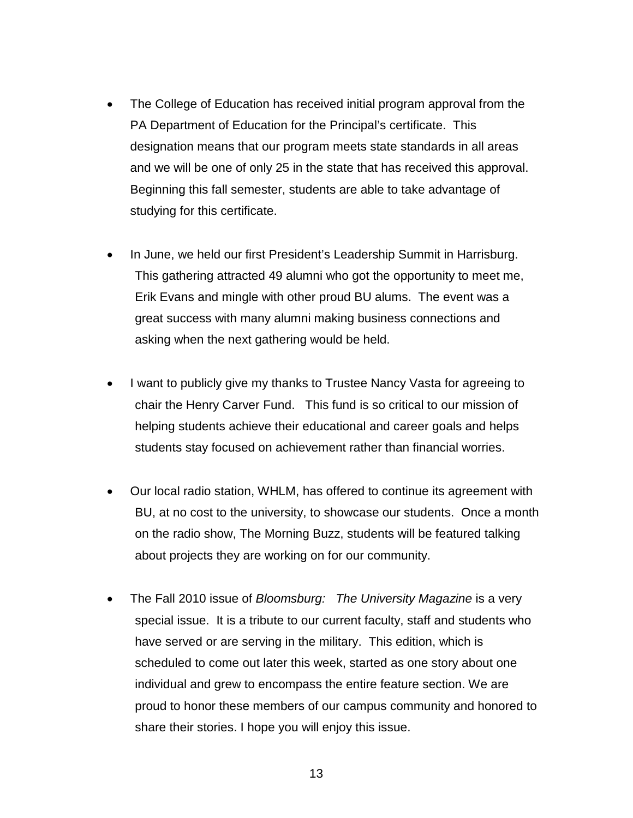- The College of Education has received initial program approval from the PA Department of Education for the Principal's certificate. This designation means that our program meets state standards in all areas and we will be one of only 25 in the state that has received this approval. Beginning this fall semester, students are able to take advantage of studying for this certificate.
- In June, we held our first President's Leadership Summit in Harrisburg. This gathering attracted 49 alumni who got the opportunity to meet me, Erik Evans and mingle with other proud BU alums. The event was a great success with many alumni making business connections and asking when the next gathering would be held.
- I want to publicly give my thanks to Trustee Nancy Vasta for agreeing to chair the Henry Carver Fund. This fund is so critical to our mission of helping students achieve their educational and career goals and helps students stay focused on achievement rather than financial worries.
- Our local radio station, WHLM, has offered to continue its agreement with BU, at no cost to the university, to showcase our students. Once a month on the radio show, The Morning Buzz, students will be featured talking about projects they are working on for our community.
- The Fall 2010 issue of *Bloomsburg: The University Magazine* is a very special issue. It is a tribute to our current faculty, staff and students who have served or are serving in the military. This edition, which is scheduled to come out later this week, started as one story about one individual and grew to encompass the entire feature section. We are proud to honor these members of our campus community and honored to share their stories. I hope you will enjoy this issue.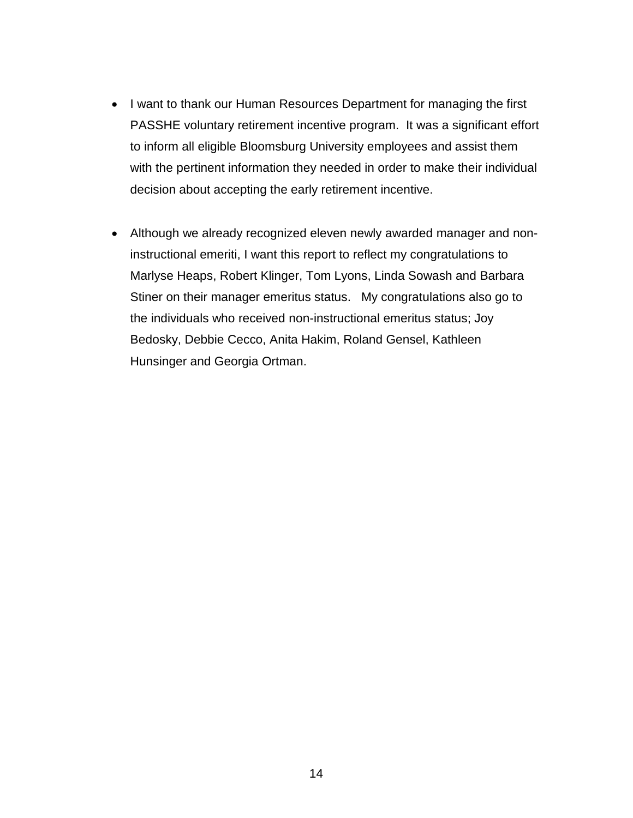- I want to thank our Human Resources Department for managing the first PASSHE voluntary retirement incentive program. It was a significant effort to inform all eligible Bloomsburg University employees and assist them with the pertinent information they needed in order to make their individual decision about accepting the early retirement incentive.
- Although we already recognized eleven newly awarded manager and noninstructional emeriti, I want this report to reflect my congratulations to Marlyse Heaps, Robert Klinger, Tom Lyons, Linda Sowash and Barbara Stiner on their manager emeritus status. My congratulations also go to the individuals who received non-instructional emeritus status; Joy Bedosky, Debbie Cecco, Anita Hakim, Roland Gensel, Kathleen Hunsinger and Georgia Ortman.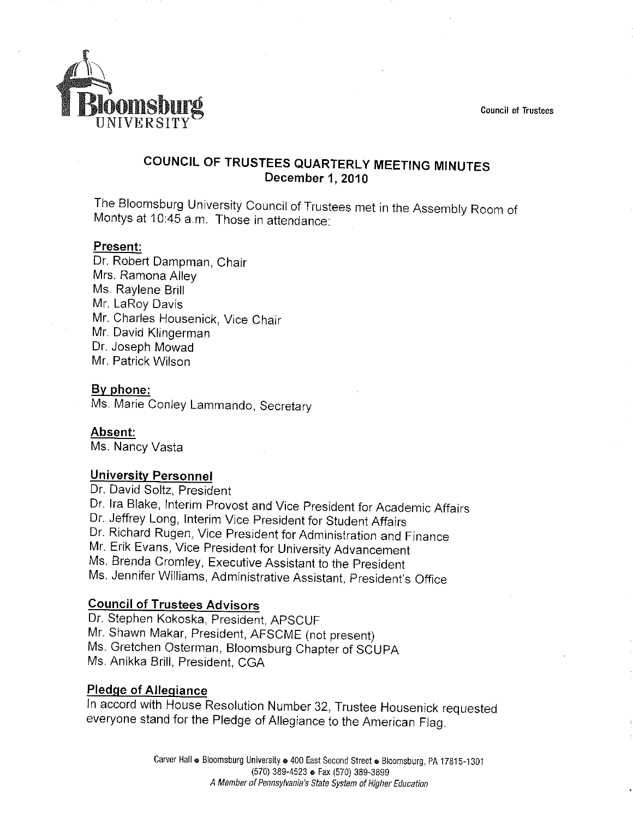**Council of Trustees** 



# COUNCIL OF TRUSTEES QUARTERLY MEETING MINUTES December 1, 2010

The Bloomsburg University Council of Trustees met in the Assembly Room of Montys at 10:45 a.m. Those in attendance:

#### Present:

Dr. Robert Dampman, Chair Mrs. Ramona Alley Ms. Raylene Brill Mr. LaRoy Davis Mr. Charles Housenick, Vice Chair Mr. David Klingerman Dr. Joseph Mowad Mr. Patrick Wilson

#### By phone:

Ms. Marie Conley Lammando, Secretary

Absent: Ms. Nancy Vasta

#### **University Personnel**

Dr. David Soltz, President Dr. Ira Blake, Interim Provost and Vice President for Academic Affairs Dr. Jeffrey Long, Interim Vice President for Student Affairs Dr. Richard Rugen, Vice President for Administration and Finance Mr. Erik Evans, Vice President for University Advancement Ms. Brenda Cromley, Executive Assistant to the President Ms. Jennifer Williams, Administrative Assistant, President's Office

# **Council of Trustees Advisors**

Dr. Stephen Kokoska, President, APSCUF Mr. Shawn Makar, President, AFSCME (not present) Ms. Gretchen Osterman, Bloomsburg Chapter of SCUPA Ms. Anikka Brill, President, CGA

### **Pledge of Allegiance**

In accord with House Resolution Number 32, Trustee Housenick requested everyone stand for the Pledge of Allegiance to the American Flag.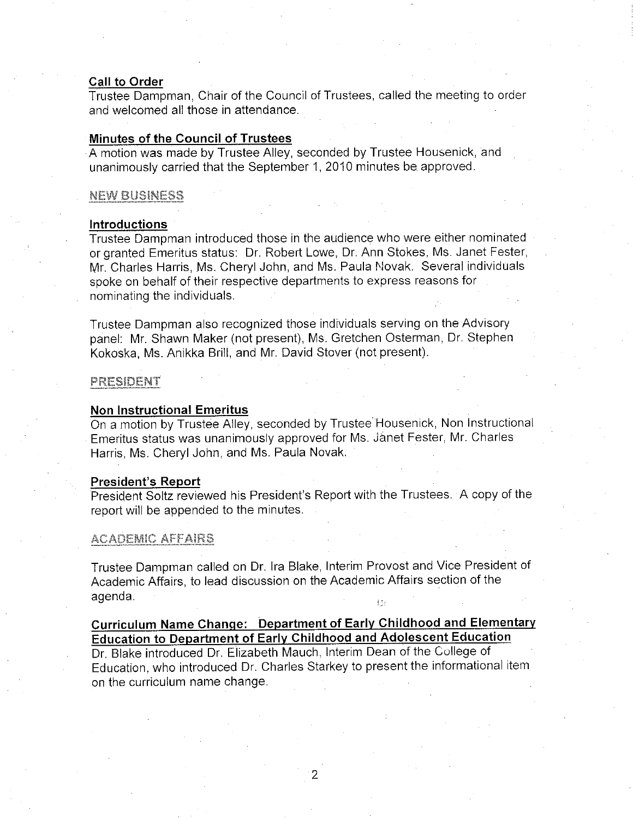#### **Call to Order**

Trustee Dampman, Chair of the Council of Trustees, called the meeting to order and welcomed all those in attendance.

#### Minutes of the Council of Trustees

A motion was made by Trustee Alley, seconded by Trustee Housenick, and unanimously carried that the September 1, 2010 minutes be approved.

#### NEW BUSINESS

#### **Introductions**

Trustee Dampman introduced those in the audience who were either nominated or granted Emeritus status: Dr. Robert Lowe, Dr. Ann Stokes, Ms. Janet Fester, Mr. Charles Harris, Ms. Cheryl John, and Ms. Paula Novak. Several individuals spoke on behalf of their respective departments to express reasons for nominating the individuals.

Trustee Dampman also recognized those individuals serving on the Advisory panel: Mr. Shawn Maker (not present), Ms. Gretchen Osterman, Dr. Stephen Kokoska, Ms. Anikka Brill, and Mr. David Stover (not present).

#### PRESIDENT

#### **Non Instructional Emeritus**

On a motion by Trustee Alley, seconded by Trustee Housenick, Non Instructional Emeritus status was unanimously approved for Ms. Janet Fester, Mr. Charles Harris, Ms. Cheryl John, and Ms. Paula Novak.

#### **President's Report**

President Soltz reviewed his President's Report with the Trustees. A copy of the report will be appended to the minutes.

#### **ACADEMIC AFFAIRS**

Trustee Dampman called on Dr. Ira Blake, Interim Provost and Vice President of Academic Affairs, to lead discussion on the Academic Affairs section of the agenda.  $\frac{1}{2}$  (  $\frac{1}{2}$ 

# Curriculum Name Change: Department of Early Childhood and Elementary **Education to Department of Early Childhood and Adolescent Education**

Dr. Blake introduced Dr. Elizabeth Mauch, Interim Dean of the College of Education, who introduced Dr. Charles Starkey to present the informational item on the curriculum name change.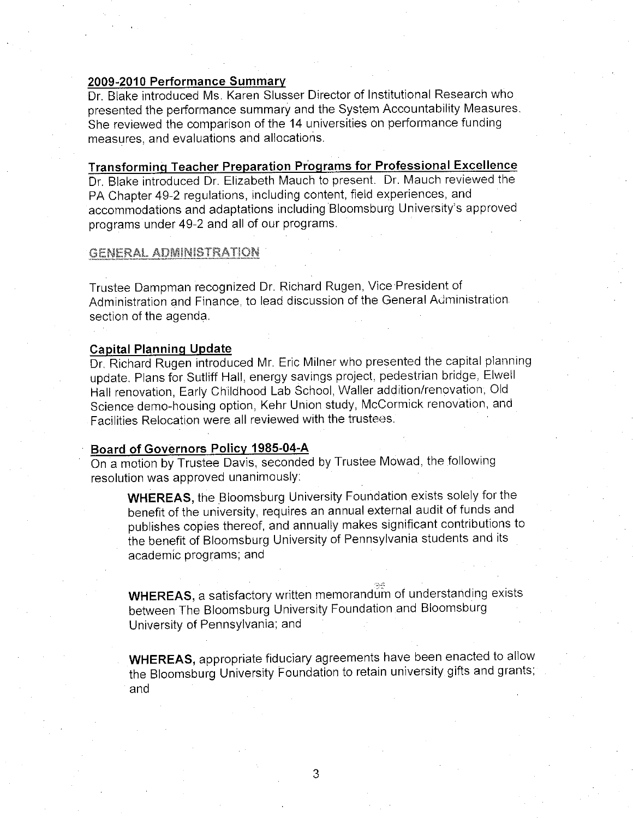#### 2009-2010 Performance Summary

Dr. Blake introduced Ms. Karen Slusser Director of Institutional Research who presented the performance summary and the System Accountability Measures. She reviewed the comparison of the 14 universities on performance funding measures, and evaluations and allocations.

Transforming Teacher Preparation Programs for Professional Excellence Dr. Blake introduced Dr. Elizabeth Mauch to present. Dr. Mauch reviewed the PA Chapter 49-2 regulations, including content, field experiences, and accommodations and adaptations including Bloomsburg University's approved programs under 49-2 and all of our programs.

#### **GENERAL ADMINISTRATION**

Trustee Dampman recognized Dr. Richard Rugen, Vice President of Administration and Finance, to lead discussion of the General Administration. section of the agenda.

#### **Capital Planning Update**

Dr. Richard Rugen introduced Mr. Eric Milner who presented the capital planning update. Plans for Sutliff Hall, energy savings project, pedestrian bridge, Elwell Hall renovation, Early Childhood Lab School, Waller addition/renovation, Old Science demo-housing option, Kehr Union study, McCormick renovation, and Facilities Relocation were all reviewed with the trustees.

#### Board of Governors Policy 1985-04-A

On a motion by Trustee Davis, seconded by Trustee Mowad, the following resolution was approved unanimously:

**WHEREAS**, the Bloomsburg University Foundation exists solely for the benefit of the university, requires an annual external audit of funds and publishes copies thereof, and annually makes significant contributions to the benefit of Bloomsburg University of Pennsylvania students and its academic programs; and

WHEREAS, a satisfactory written memorandum of understanding exists between The Bloomsburg University Foundation and Bloomsburg University of Pennsylvania; and

**WHEREAS**, appropriate fiduciary agreements have been enacted to allow the Bloomsburg University Foundation to retain university gifts and grants; and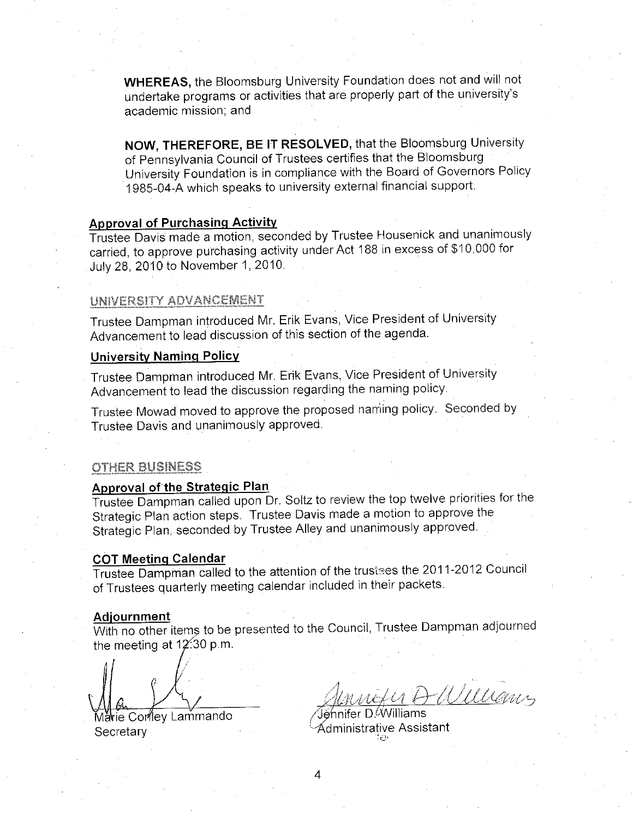**WHEREAS, the Bloomsburg University Foundation does not and will not** undertake programs or activities that are properly part of the university's academic mission; and

NOW, THEREFORE, BE IT RESOLVED, that the Bloomsburg University of Pennsylvania Council of Trustees certifies that the Bloomsburg University Foundation is in compliance with the Board of Governors Policy 1985-04-A which speaks to university external financial support.

# **Approval of Purchasing Activity**

Trustee Davis made a motion, seconded by Trustee Housenick and unanimously carried, to approve purchasing activity under Act 188 in excess of \$10,000 for July 28, 2010 to November 1, 2010.

#### UNIVERSITY ADVANCEMENT

Trustee Dampman introduced Mr. Erik Evans, Vice President of University Advancement to lead discussion of this section of the agenda.

# **University Naming Policy**

Trustee Dampman introduced Mr. Erik Evans, Vice President of University Advancement to lead the discussion regarding the naming policy.

Trustee Mowad moved to approve the proposed naming policy. Seconded by Trustee Davis and unanimously approved.

#### **OTHER BUSINESS**

#### Approval of the Strategic Plan

Trustee Dampman called upon Dr. Soltz to review the top twelve priorities for the Strategic Plan action steps. Trustee Davis made a motion to approve the Strategic Plan, seconded by Trustee Alley and unanimously approved.

#### **COT Meeting Calendar**

Trustee Dampman called to the attention of the trustees the 2011-2012 Council of Trustees quarterly meeting calendar included in their packets.

#### Adjournment

With no other items to be presented to the Council, Trustee Dampman adjourned the meeting at 12:30 p.m.

Marie Corlley Lammando Secretary

DWWars

∕Jĕ⁄nnifer D.Williams Administrative Assistant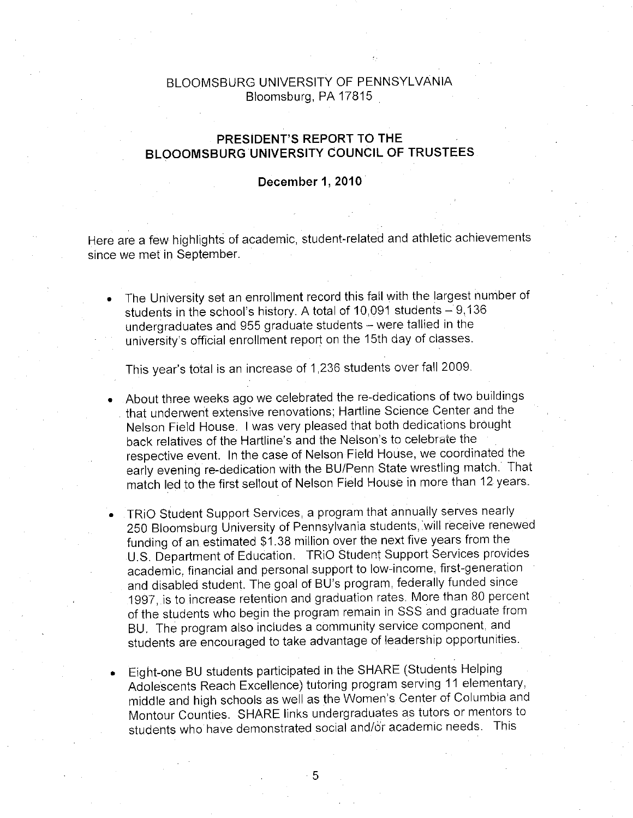# BLOOMSBURG UNIVERSITY OF PENNSYLVANIA Bloomsburg, PA 17815

# PRESIDENT'S REPORT TO THE BLOOOMSBURG UNIVERSITY COUNCIL OF TRUSTEES

#### December 1, 2010

Here are a few highlights of academic, student-related and athletic achievements since we met in September.

The University set an enrollment record this fall with the largest number of students in the school's history. A total of 10,091 students - 9,136 undergraduates and 955 graduate students - were tallied in the university's official enrollment report on the 15th day of classes.

This year's total is an increase of 1,236 students over fall 2009.

- About three weeks ago we celebrated the re-dedications of two buildings that underwent extensive renovations; Hartline Science Center and the Nelson Field House. I was very pleased that both dedications brought back relatives of the Hartline's and the Nelson's to celebrate the respective event. In the case of Nelson Field House, we coordinated the early evening re-dedication with the BU/Penn State wrestling match. That match led to the first sellout of Nelson Field House in more than 12 years.
- TRIO Student Support Services, a program that annually serves nearly 250 Bloomsburg University of Pennsylvania students, will receive renewed funding of an estimated \$1.38 million over the next five years from the U.S. Department of Education. TRiO Student Support Services provides academic, financial and personal support to low-income, first-generation and disabled student. The goal of BU's program, federally funded since 1997, is to increase retention and graduation rates. More than 80 percent of the students who begin the program remain in SSS and graduate from BU. The program also includes a community service component, and students are encouraged to take advantage of leadership opportunities.
- Eight-one BU students participated in the SHARE (Students Helping Adolescents Reach Excellence) tutoring program serving 11 elementary, middle and high schools as well as the Women's Center of Columbia and Montour Counties. SHARE links undergraduates as tutors or mentors to students who have demonstrated social and/or academic needs. This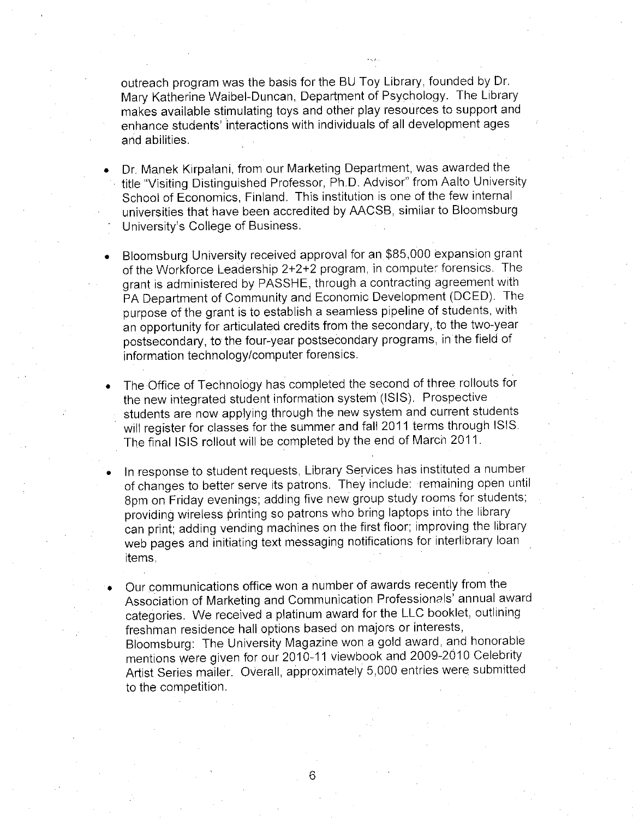outreach program was the basis for the BU Toy Library, founded by Dr. Mary Katherine Waibel-Duncan, Department of Psychology. The Library makes available stimulating toys and other play resources to support and enhance students' interactions with individuals of all development ages and abilities.

- Dr. Manek Kirpalani, from our Marketing Department, was awarded the title "Visiting Distinguished Professor, Ph.D. Advisor" from Aalto University School of Economics, Finland. This institution is one of the few internal universities that have been accredited by AACSB, similar to Bloomsburg University's College of Business.
- Bloomsburg University received approval for an \$85,000 expansion grant of the Workforce Leadership 2+2+2 program, in computer forensics. The grant is administered by PASSHE, through a contracting agreement with PA Department of Community and Economic Development (DCED). The purpose of the grant is to establish a seamless pipeline of students, with an opportunity for articulated credits from the secondary, to the two-year postsecondary, to the four-year postsecondary programs, in the field of information technology/computer forensics.
- The Office of Technology has completed the second of three rollouts for the new integrated student information system (ISIS). Prospective students are now applying through the new system and current students will register for classes for the summer and fall 2011 terms through ISIS. The final ISIS rollout will be completed by the end of March 2011.
- In response to student requests, Library Services has instituted a number of changes to better serve its patrons. They include: remaining open until 8pm on Friday evenings; adding five new group study rooms for students; providing wireless printing so patrons who bring laptops into the library can print; adding vending machines on the first floor; improving the library web pages and initiating text messaging notifications for interlibrary loan items.
- Our communications office won a number of awards recently from the Association of Marketing and Communication Professionals' annual award categories. We received a platinum award for the LLC booklet, outlining freshman residence hall options based on majors or interests, Bloomsburg: The University Magazine won a gold award, and honorable mentions were given for our 2010-11 viewbook and 2009-2010 Celebrity Artist Series mailer. Overall, approximately 5,000 entries were submitted to the competition.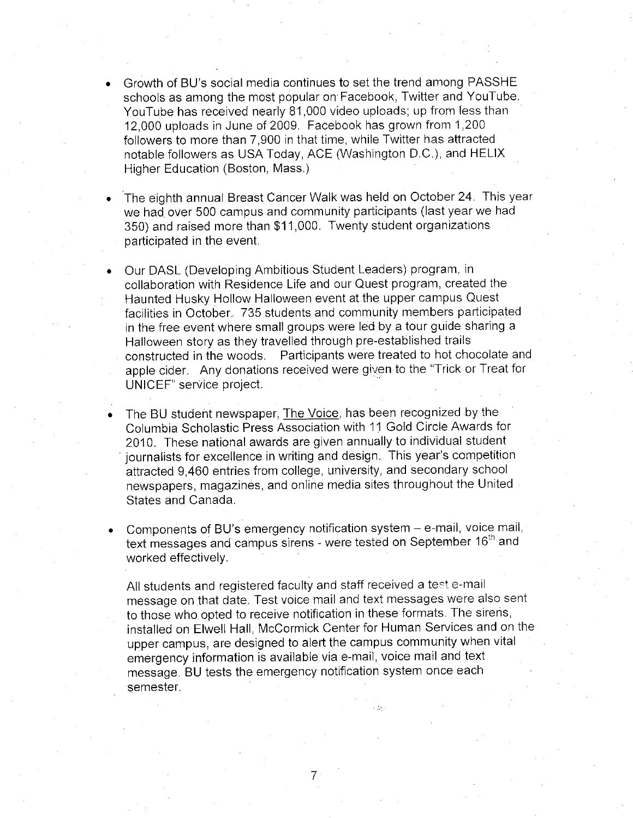- Growth of BU's social media continues to set the trend among PASSHE schools as among the most popular on Facebook. Twitter and YouTube. YouTube has received nearly 81,000 video uploads; up from less than 12.000 uploads in June of 2009. Facebook has grown from 1,200 followers to more than 7,900 in that time, while Twitter has attracted notable followers as USA Today, ACE (Washington D.C.), and HELIX Higher Education (Boston, Mass.)
- The eighth annual Breast Cancer Walk was held on October 24. This year we had over 500 campus and community participants (last year we had 350) and raised more than \$11,000. Twenty student organizations participated in the event.
- Our DASL (Developing Ambitious Student Leaders) program, in collaboration with Residence Life and our Quest program, created the Haunted Husky Hollow Halloween event at the upper campus Quest facilities in October. 735 students and community members participated in the free event where small groups were led by a tour quide sharing a Halloween story as they travelled through pre-established trails constructed in the woods. Participants were treated to hot chocolate and apple cider. Any donations received were given to the "Trick or Treat for UNICEF" service project.
- The BU student newspaper, The Voice, has been recognized by the Columbia Scholastic Press Association with 11 Gold Circle Awards for 2010. These national awards are given annually to individual student journalists for excellence in writing and design. This year's competition attracted 9,460 entries from college, university, and secondary school newspapers, magazines, and online media sites throughout the United States and Canada.
- Components of BU's emergency notification system e-mail, voice mail, text messages and campus sirens - were tested on September 16<sup>th</sup> and worked effectively.

All students and registered faculty and staff received a test e-mail message on that date. Test voice mail and text messages were also sent to those who opted to receive notification in these formats. The sirens, installed on Elwell Hall, McCormick Center for Human Services and on the upper campus, are designed to alert the campus community when vital emergency information is available via e-mail, voice mail and text message. BU tests the emergency notification system once each semester.

 $\overline{7}$